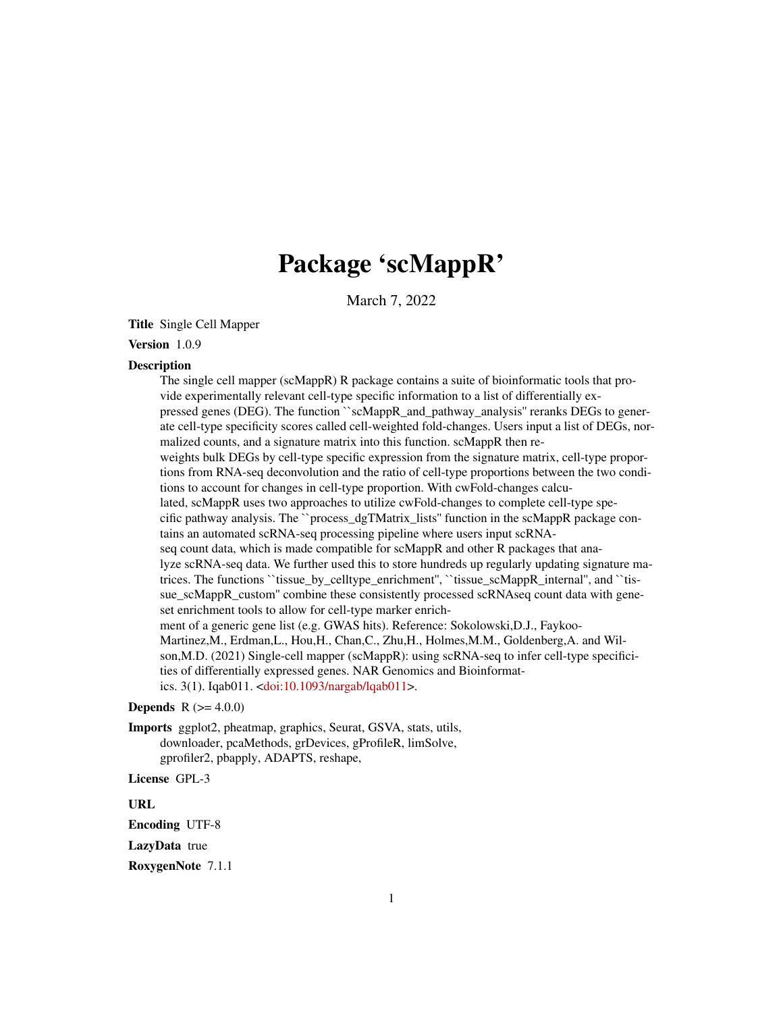## Package 'scMappR'

March 7, 2022

Title Single Cell Mapper

## Version 1.0.9

#### **Description**

The single cell mapper (scMappR) R package contains a suite of bioinformatic tools that provide experimentally relevant cell-type specific information to a list of differentially expressed genes (DEG). The function ``scMappR\_and\_pathway\_analysis'' reranks DEGs to generate cell-type specificity scores called cell-weighted fold-changes. Users input a list of DEGs, normalized counts, and a signature matrix into this function. scMappR then reweights bulk DEGs by cell-type specific expression from the signature matrix, cell-type proportions from RNA-seq deconvolution and the ratio of cell-type proportions between the two conditions to account for changes in cell-type proportion. With cwFold-changes calculated, scMappR uses two approaches to utilize cwFold-changes to complete cell-type specific pathway analysis. The ``process\_dgTMatrix\_lists'' function in the scMappR package contains an automated scRNA-seq processing pipeline where users input scRNAseq count data, which is made compatible for scMappR and other R packages that analyze scRNA-seq data. We further used this to store hundreds up regularly updating signature matrices. The functions ``tissue\_by\_celltype\_enrichment'', ``tissue\_scMappR\_internal'', and ``tissue\_scMappR\_custom'' combine these consistently processed scRNAseq count data with geneset enrichment tools to allow for cell-type marker enrichment of a generic gene list (e.g. GWAS hits). Reference: Sokolowski,D.J., Faykoo-Martinez,M., Erdman,L., Hou,H., Chan,C., Zhu,H., Holmes,M.M., Goldenberg,A. and Wilson,M.D. (2021) Single-cell mapper (scMappR): using scRNA-seq to infer cell-type specificities of differentially expressed genes. NAR Genomics and Bioinformatics. 3(1). Iqab011. [<doi:10.1093/nargab/lqab011>](https://doi.org/10.1093/nargab/lqab011).

## **Depends**  $R (= 4.0.0)$

Imports ggplot2, pheatmap, graphics, Seurat, GSVA, stats, utils, downloader, pcaMethods, grDevices, gProfileR, limSolve, gprofiler2, pbapply, ADAPTS, reshape,

License GPL-3

URL

Encoding UTF-8

LazyData true

RoxygenNote 7.1.1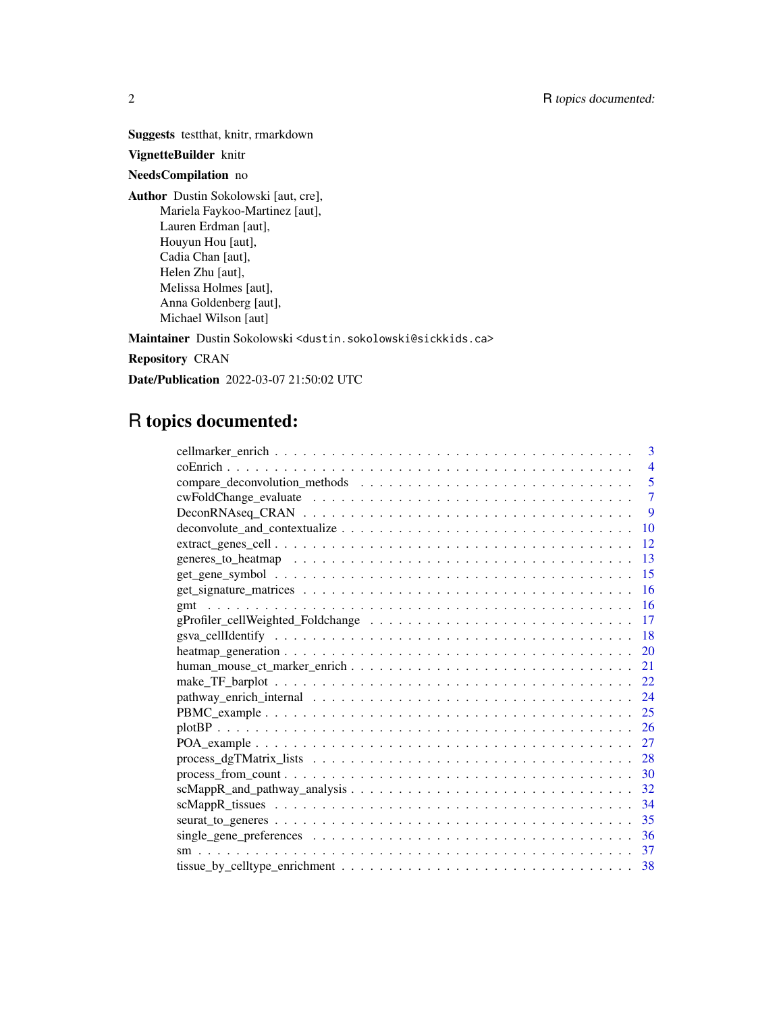Suggests testthat, knitr, rmarkdown

## VignetteBuilder knitr

## NeedsCompilation no

Author Dustin Sokolowski [aut, cre], Mariela Faykoo-Martinez [aut], Lauren Erdman [aut], Houyun Hou [aut], Cadia Chan [aut], Helen Zhu [aut], Melissa Holmes [aut], Anna Goldenberg [aut], Michael Wilson [aut]

Maintainer Dustin Sokolowski <dustin.sokolowski@sickkids.ca>

Repository CRAN

Date/Publication 2022-03-07 21:50:02 UTC

## R topics documented:

| 3              |
|----------------|
| $\overline{4}$ |
| 5              |
| 7              |
| 9              |
| 10             |
| 12             |
| 13             |
| 15             |
| 16             |
| 16             |
| 17             |
| 18             |
| 20             |
| 21             |
| 22             |
| 24             |
| 25             |
| 26             |
| 27             |
| 28             |
| 30             |
| 32             |
| 34             |
| 35             |
| 36             |
| 37             |
| -38            |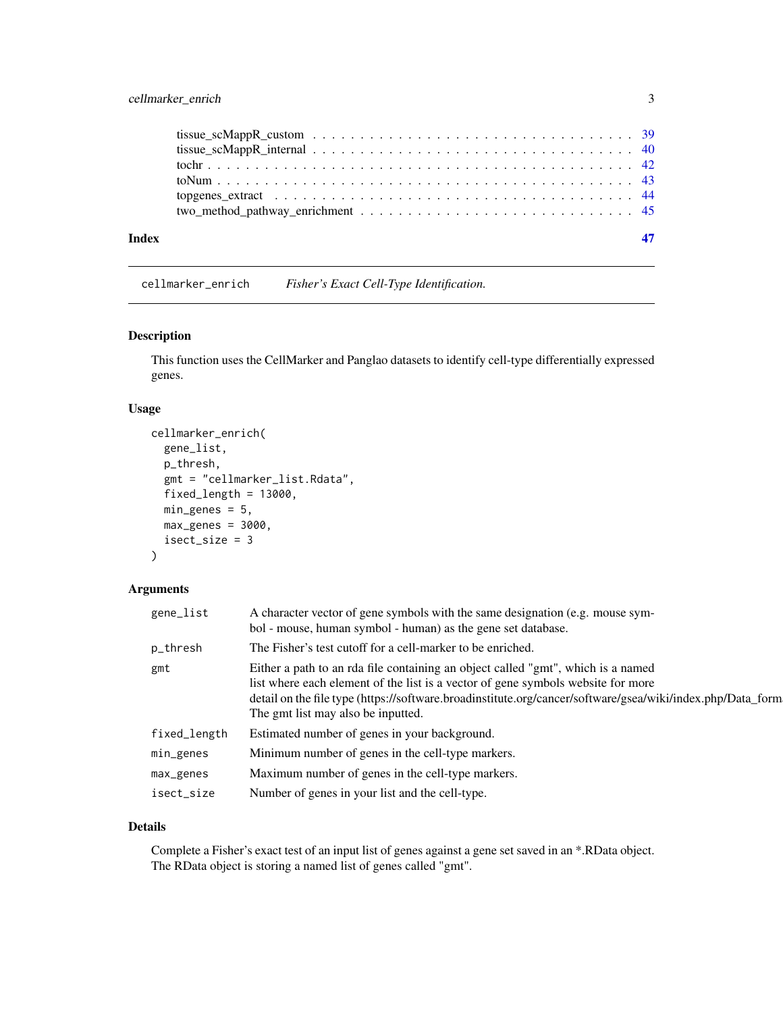## <span id="page-2-0"></span>cellmarker\_enrich 3

| Index |  |
|-------|--|
|       |  |
|       |  |
|       |  |
|       |  |
|       |  |
|       |  |

cellmarker\_enrich *Fisher's Exact Cell-Type Identification.*

## Description

This function uses the CellMarker and Panglao datasets to identify cell-type differentially expressed genes.

## Usage

```
cellmarker_enrich(
  gene_list,
 p_thresh,
  gmt = "cellmarker_list.Rdata",
  fixed_length = 13000,
 min\_genes = 5,
 max\_genes = 3000,isect_size = 3
\mathcal{L}
```
## Arguments

| gene_list    | A character vector of gene symbols with the same designation (e.g. mouse sym-<br>bol - mouse, human symbol - human) as the gene set database.                                                                                                                                                                            |
|--------------|--------------------------------------------------------------------------------------------------------------------------------------------------------------------------------------------------------------------------------------------------------------------------------------------------------------------------|
| p_thresh     | The Fisher's test cutoff for a cell-marker to be enriched.                                                                                                                                                                                                                                                               |
| gmt          | Either a path to an rda file containing an object called "gmt", which is a named<br>list where each element of the list is a vector of gene symbols website for more<br>detail on the file type (https://software.broadinstitute.org/cancer/software/gsea/wiki/index.php/Data_form<br>The gmt list may also be inputted. |
| fixed_length | Estimated number of genes in your background.                                                                                                                                                                                                                                                                            |
| min_genes    | Minimum number of genes in the cell-type markers.                                                                                                                                                                                                                                                                        |
| $max\_genes$ | Maximum number of genes in the cell-type markers.                                                                                                                                                                                                                                                                        |
| isect_size   | Number of genes in your list and the cell-type.                                                                                                                                                                                                                                                                          |

#### Details

Complete a Fisher's exact test of an input list of genes against a gene set saved in an \*.RData object. The RData object is storing a named list of genes called "gmt".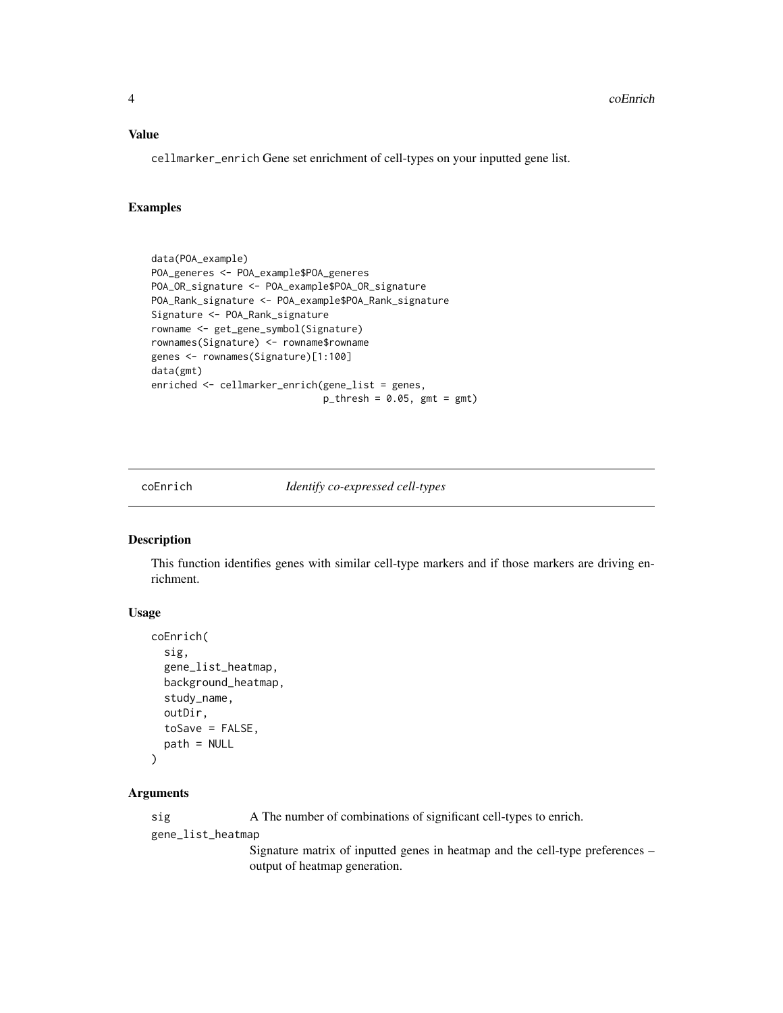#### <span id="page-3-0"></span>Value

cellmarker\_enrich Gene set enrichment of cell-types on your inputted gene list.

## Examples

```
data(POA_example)
POA_generes <- POA_example$POA_generes
POA_OR_signature <- POA_example$POA_OR_signature
POA_Rank_signature <- POA_example$POA_Rank_signature
Signature <- POA_Rank_signature
rowname <- get_gene_symbol(Signature)
rownames(Signature) <- rowname$rowname
genes <- rownames(Signature)[1:100]
data(gmt)
enriched <- cellmarker_enrich(gene_list = genes,
                              p_{th}rhresh = 0.05, gmt = gmt)
```
coEnrich *Identify co-expressed cell-types*

#### Description

This function identifies genes with similar cell-type markers and if those markers are driving enrichment.

## Usage

```
coEnrich(
  sig,
  gene_list_heatmap,
  background_heatmap,
  study_name,
  outDir,
  toSave = FALSE,
  path = NULL
)
```
#### Arguments

sig A The number of combinations of significant cell-types to enrich.

gene\_list\_heatmap

Signature matrix of inputted genes in heatmap and the cell-type preferences – output of heatmap generation.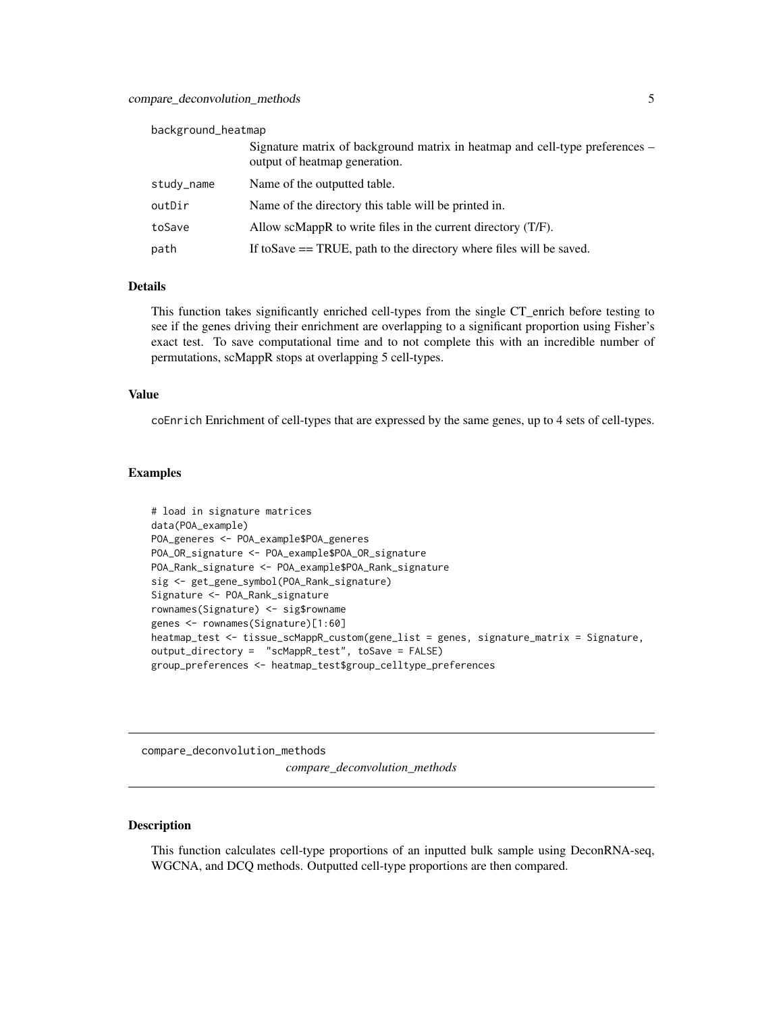#### <span id="page-4-0"></span>background\_heatmap

|            | Signature matrix of background matrix in heatmap and cell-type preferences –<br>output of heatmap generation. |
|------------|---------------------------------------------------------------------------------------------------------------|
| study_name | Name of the outputted table.                                                                                  |
| outDir     | Name of the directory this table will be printed in.                                                          |
| toSave     | Allow scMappR to write files in the current directory $(T/F)$ .                                               |
| path       | If to Save $==$ TRUE, path to the directory where files will be saved.                                        |

#### Details

This function takes significantly enriched cell-types from the single CT\_enrich before testing to see if the genes driving their enrichment are overlapping to a significant proportion using Fisher's exact test. To save computational time and to not complete this with an incredible number of permutations, scMappR stops at overlapping 5 cell-types.

#### Value

coEnrich Enrichment of cell-types that are expressed by the same genes, up to 4 sets of cell-types.

#### Examples

```
# load in signature matrices
data(POA_example)
POA_generes <- POA_example$POA_generes
POA_OR_signature <- POA_example$POA_OR_signature
POA_Rank_signature <- POA_example$POA_Rank_signature
sig <- get_gene_symbol(POA_Rank_signature)
Signature <- POA_Rank_signature
rownames(Signature) <- sig$rowname
genes <- rownames(Signature)[1:60]
heatmap_test <- tissue_scMappR_custom(gene_list = genes, signature_matrix = Signature,
output_directory = "scMappR_test", toSave = FALSE)
group_preferences <- heatmap_test$group_celltype_preferences
```
compare\_deconvolution\_methods

*compare\_deconvolution\_methods*

#### Description

This function calculates cell-type proportions of an inputted bulk sample using DeconRNA-seq, WGCNA, and DCQ methods. Outputted cell-type proportions are then compared.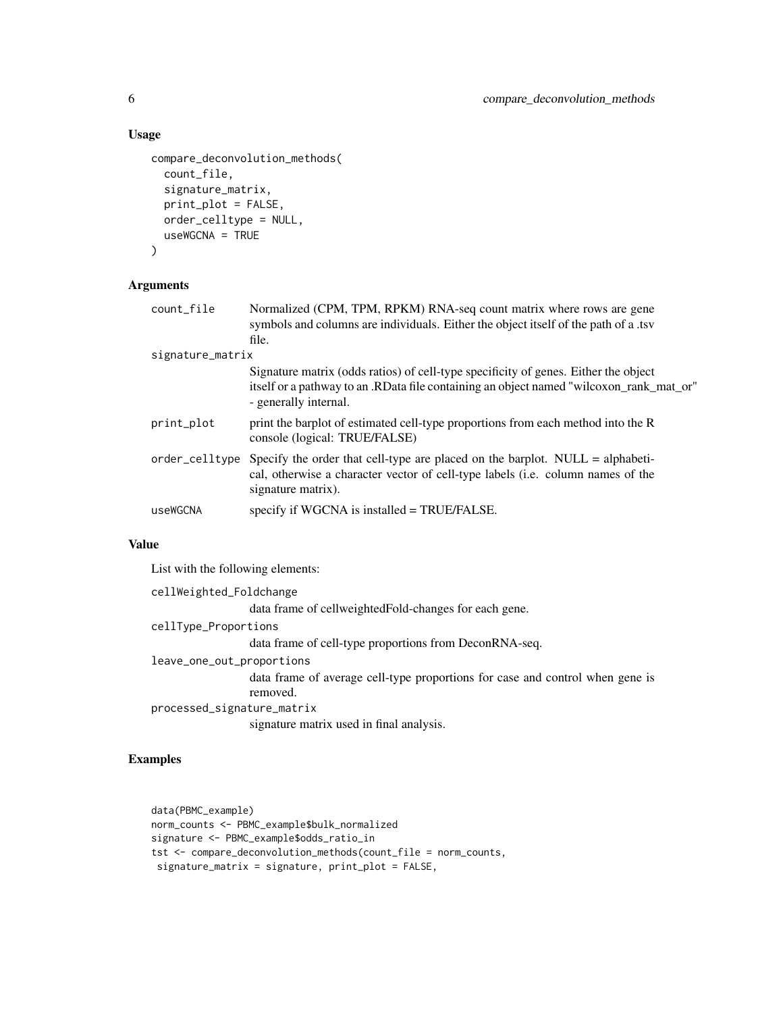#### Usage

```
compare_deconvolution_methods(
  count_file,
  signature_matrix,
 print_plot = FALSE,
  order_celltype = NULL,
  useWGCNA = TRUE
)
```
## Arguments

| count_file       | Normalized (CPM, TPM, RPKM) RNA-seq count matrix where rows are gene<br>symbols and columns are individuals. Either the object itself of the path of a .tsv                                             |
|------------------|---------------------------------------------------------------------------------------------------------------------------------------------------------------------------------------------------------|
|                  | file.                                                                                                                                                                                                   |
| signature_matrix |                                                                                                                                                                                                         |
|                  | Signature matrix (odds ratios) of cell-type specificity of genes. Either the object<br>itself or a pathway to an .RData file containing an object named "wilcoxon_rank_mat_or"<br>- generally internal. |
| print_plot       | print the barplot of estimated cell-type proportions from each method into the R<br>console (logical: TRUE/FALSE)                                                                                       |
| order_celltype   | Specify the order that cell-type are placed on the barplot. $NULL = alphabeti$<br>cal, otherwise a character vector of cell-type labels (i.e. column names of the<br>signature matrix).                 |
| useWGCNA         | specify if WGCNA is installed = TRUE/FALSE.                                                                                                                                                             |

#### Value

List with the following elements:

```
cellWeighted_Foldchange
                 data frame of cellweightedFold-changes for each gene.
cellType_Proportions
                 data frame of cell-type proportions from DeconRNA-seq.
leave_one_out_proportions
                 data frame of average cell-type proportions for case and control when gene is
                 removed.
processed_signature_matrix
                 signature matrix used in final analysis.
```
#### Examples

```
data(PBMC_example)
norm_counts <- PBMC_example$bulk_normalized
signature <- PBMC_example$odds_ratio_in
tst <- compare_deconvolution_methods(count_file = norm_counts,
signature_matrix = signature, print_plot = FALSE,
```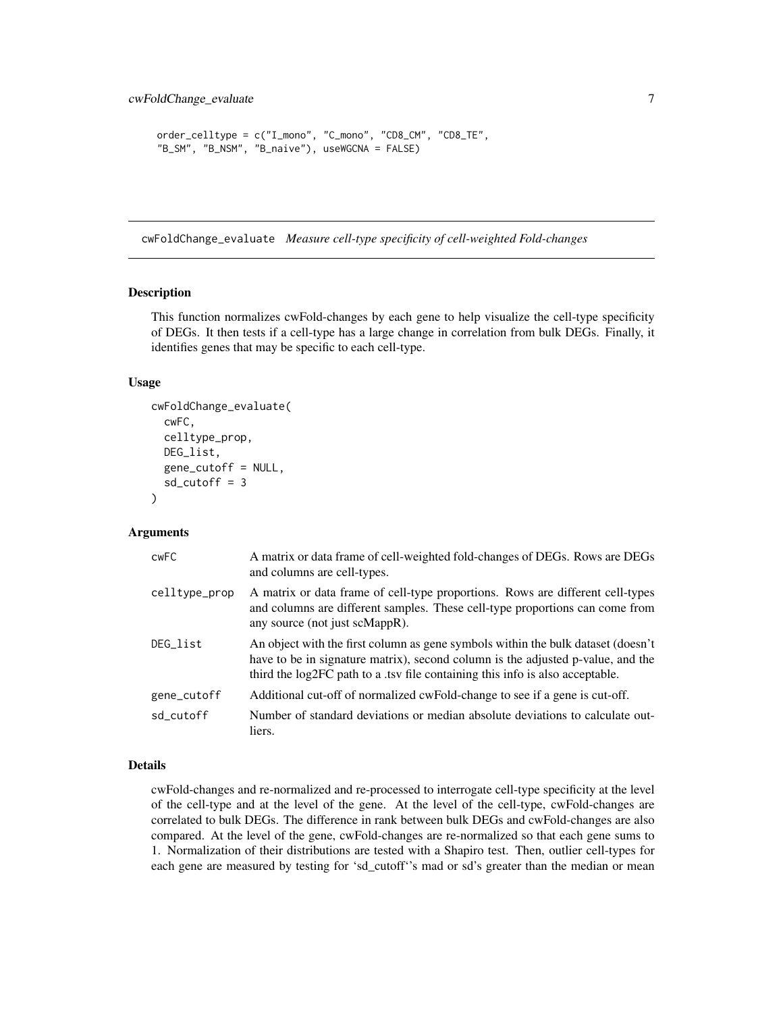```
order_celltype = c("I_mono", "C_mono", "CD8_CM", "CD8_TE",
"B_SM", "B_NSM", "B_naive"), useWGCNA = FALSE)
```
cwFoldChange\_evaluate *Measure cell-type specificity of cell-weighted Fold-changes*

#### Description

This function normalizes cwFold-changes by each gene to help visualize the cell-type specificity of DEGs. It then tests if a cell-type has a large change in correlation from bulk DEGs. Finally, it identifies genes that may be specific to each cell-type.

#### Usage

```
cwFoldChange_evaluate(
  cwFC,
  celltype_prop,
  DEG_list,
  gene_cutoff = NULL,
  sd_cutoff = 3)
```
#### Arguments

| <b>CWFC</b>   | A matrix or data frame of cell-weighted fold-changes of DEGs. Rows are DEGs<br>and columns are cell-types.                                                                                                                                           |
|---------------|------------------------------------------------------------------------------------------------------------------------------------------------------------------------------------------------------------------------------------------------------|
| celltype_prop | A matrix or data frame of cell-type proportions. Rows are different cell-types<br>and columns are different samples. These cell-type proportions can come from<br>any source (not just scMappR).                                                     |
| DEG_list      | An object with the first column as gene symbols within the bulk dataset (doesn't<br>have to be in signature matrix), second column is the adjusted p-value, and the<br>third the log2FC path to a .tsv file containing this info is also acceptable. |
| gene_cutoff   | Additional cut-off of normalized cwFold-change to see if a gene is cut-off.                                                                                                                                                                          |
| sd cutoff     | Number of standard deviations or median absolute deviations to calculate out-<br>liers.                                                                                                                                                              |

#### Details

cwFold-changes and re-normalized and re-processed to interrogate cell-type specificity at the level of the cell-type and at the level of the gene. At the level of the cell-type, cwFold-changes are correlated to bulk DEGs. The difference in rank between bulk DEGs and cwFold-changes are also compared. At the level of the gene, cwFold-changes are re-normalized so that each gene sums to 1. Normalization of their distributions are tested with a Shapiro test. Then, outlier cell-types for each gene are measured by testing for 'sd\_cutoff''s mad or sd's greater than the median or mean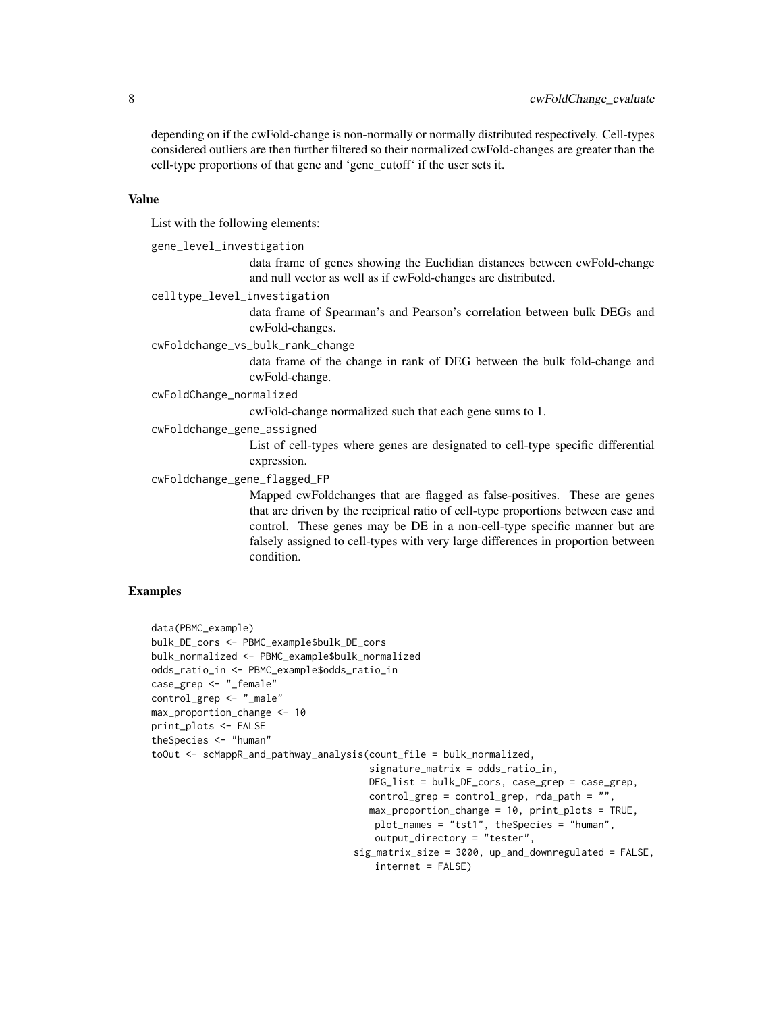depending on if the cwFold-change is non-normally or normally distributed respectively. Cell-types considered outliers are then further filtered so their normalized cwFold-changes are greater than the cell-type proportions of that gene and 'gene\_cutoff' if the user sets it.

#### Value

List with the following elements:

gene\_level\_investigation

data frame of genes showing the Euclidian distances between cwFold-change and null vector as well as if cwFold-changes are distributed.

celltype\_level\_investigation

data frame of Spearman's and Pearson's correlation between bulk DEGs and cwFold-changes.

cwFoldchange\_vs\_bulk\_rank\_change

data frame of the change in rank of DEG between the bulk fold-change and cwFold-change.

cwFoldChange\_normalized

cwFold-change normalized such that each gene sums to 1.

cwFoldchange\_gene\_assigned

List of cell-types where genes are designated to cell-type specific differential expression.

cwFoldchange\_gene\_flagged\_FP

Mapped cwFoldchanges that are flagged as false-positives. These are genes that are driven by the reciprical ratio of cell-type proportions between case and control. These genes may be DE in a non-cell-type specific manner but are falsely assigned to cell-types with very large differences in proportion between condition.

## Examples

```
data(PBMC_example)
bulk_DE_cors <- PBMC_example$bulk_DE_cors
bulk_normalized <- PBMC_example$bulk_normalized
odds_ratio_in <- PBMC_example$odds_ratio_in
case_grep <- "_female"
control_grep <- "_male"
max_proportion_change <- 10
print_plots <- FALSE
theSpecies <- "human"
toOut <- scMappR_and_pathway_analysis(count_file = bulk_normalized,
                                      signature_matrix = odds_ratio_in,
                                      DEG_list = bulk_DE_cors, case_grep = case_grep,
                                      control_grep = control_grep, rda_path = "",
                                      max_proportion_change = 10, print_plots = TRUE,
                                       plot_names = "tst1", theSpecies = "human",
                                       output_directory = "tester",
                                   sig_matrix_size = 3000, up_and_downregulated = FALSE,
```

```
internet = FALSE)
```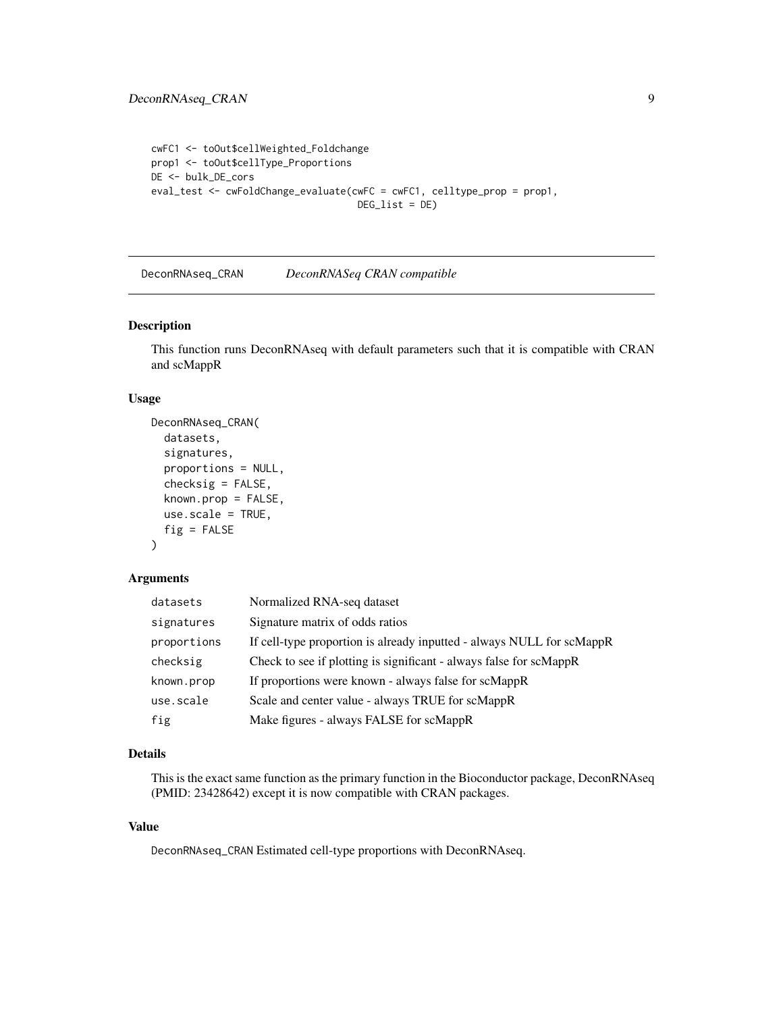```
cwFC1 <- toOut$cellWeighted_Foldchange
prop1 <- toOut$cellType_Proportions
DE <- bulk_DE_cors
eval_test <- cwFoldChange_evaluate(cwFC = cwFC1, celltype_prop = prop1,
                                     DEG_{\text{list}} = DE
```
DeconRNAseq\_CRAN *DeconRNASeq CRAN compatible*

## Description

This function runs DeconRNAseq with default parameters such that it is compatible with CRAN and scMappR

#### Usage

```
DeconRNAseq_CRAN(
  datasets,
  signatures,
  proportions = NULL,
  checksig = FALSE,
  known.prop = FALSE,
  use.scale = TRUE,
  fig = FALSE\lambda
```
## Arguments

| datasets    | Normalized RNA-seq dataset                                            |
|-------------|-----------------------------------------------------------------------|
| signatures  | Signature matrix of odds ratios                                       |
| proportions | If cell-type proportion is already inputted - always NULL for scMappR |
| checksig    | Check to see if plotting is significant - always false for scMappR    |
| known.prop  | If proportions were known - always false for scMappR                  |
| use.scale   | Scale and center value - always TRUE for scMappR                      |
| fig         | Make figures - always FALSE for scMappR                               |

## Details

This is the exact same function as the primary function in the Bioconductor package, DeconRNAseq (PMID: 23428642) except it is now compatible with CRAN packages.

#### Value

DeconRNAseq\_CRAN Estimated cell-type proportions with DeconRNAseq.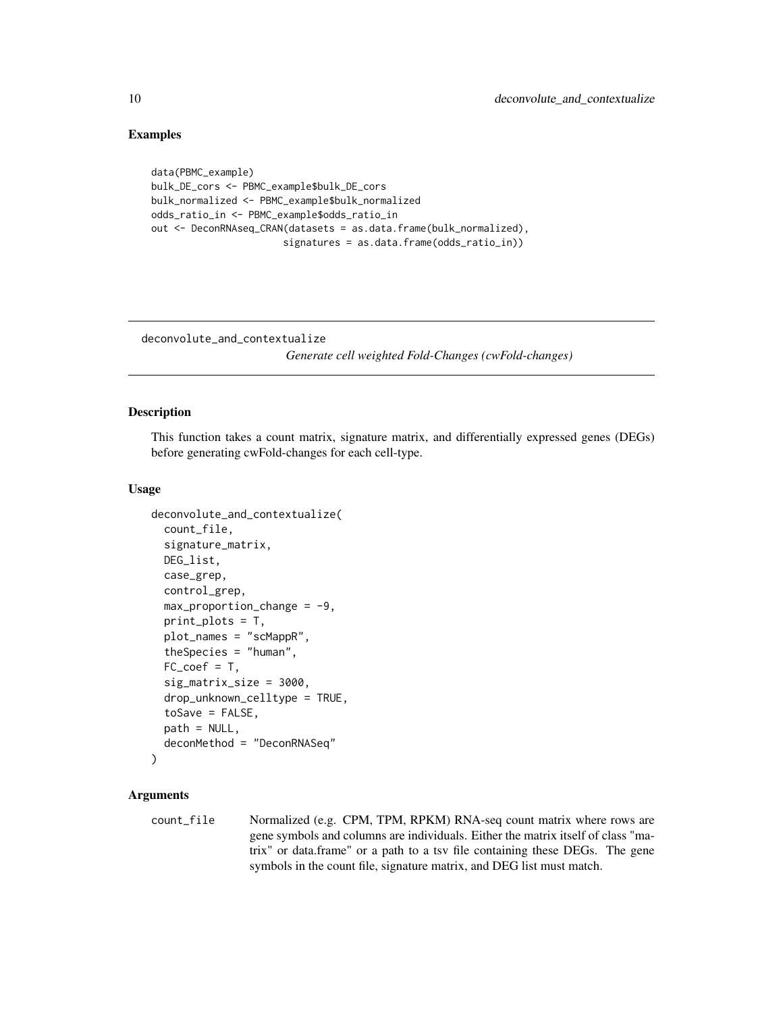#### Examples

```
data(PBMC_example)
bulk_DE_cors <- PBMC_example$bulk_DE_cors
bulk_normalized <- PBMC_example$bulk_normalized
odds_ratio_in <- PBMC_example$odds_ratio_in
out <- DeconRNAseq_CRAN(datasets = as.data.frame(bulk_normalized),
                       signatures = as.data.frame(odds_ratio_in))
```
deconvolute\_and\_contextualize

*Generate cell weighted Fold-Changes (cwFold-changes)*

#### Description

This function takes a count matrix, signature matrix, and differentially expressed genes (DEGs) before generating cwFold-changes for each cell-type.

#### Usage

```
deconvolute_and_contextualize(
  count_file,
  signature_matrix,
 DEG_list,
  case_grep,
  control_grep,
  max\_proportion\_change = -9,
  print_plots = T,
  plot_names = "scMappR",
  theSpecies = "human",
  FC\_coef = T,
  sig_matrix_size = 3000,
  drop_unknown_celltype = TRUE,
  toSave = FALSE,path = NULL,
  deconMethod = "DeconRNASeq"
)
```
## Arguments

count\_file Normalized (e.g. CPM, TPM, RPKM) RNA-seq count matrix where rows are gene symbols and columns are individuals. Either the matrix itself of class "matrix" or data.frame" or a path to a tsv file containing these DEGs. The gene symbols in the count file, signature matrix, and DEG list must match.

<span id="page-9-0"></span>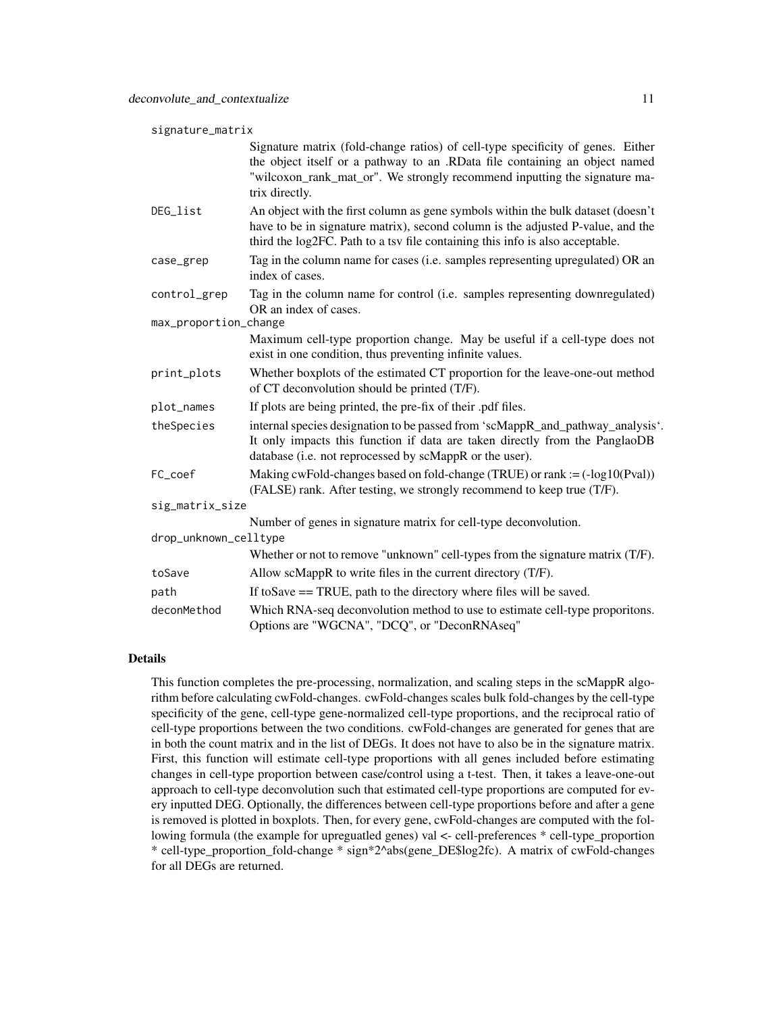| signature_matrix      |                                                                                                                                                                                                                                                               |  |
|-----------------------|---------------------------------------------------------------------------------------------------------------------------------------------------------------------------------------------------------------------------------------------------------------|--|
|                       | Signature matrix (fold-change ratios) of cell-type specificity of genes. Either<br>the object itself or a pathway to an .RData file containing an object named<br>"wilcoxon_rank_mat_or". We strongly recommend inputting the signature ma-<br>trix directly. |  |
| DEG_list              | An object with the first column as gene symbols within the bulk dataset (doesn't<br>have to be in signature matrix), second column is the adjusted P-value, and the<br>third the log2FC. Path to a tsv file containing this info is also acceptable.          |  |
| case_grep             | Tag in the column name for cases (i.e. samples representing upregulated) OR an<br>index of cases.                                                                                                                                                             |  |
| control_grep          | Tag in the column name for control (i.e. samples representing downregulated)<br>OR an index of cases.                                                                                                                                                         |  |
| max_proportion_change |                                                                                                                                                                                                                                                               |  |
|                       | Maximum cell-type proportion change. May be useful if a cell-type does not<br>exist in one condition, thus preventing infinite values.                                                                                                                        |  |
| print_plots           | Whether boxplots of the estimated CT proportion for the leave-one-out method<br>of CT deconvolution should be printed (T/F).                                                                                                                                  |  |
| plot_names            | If plots are being printed, the pre-fix of their .pdf files.                                                                                                                                                                                                  |  |
| theSpecies            | internal species designation to be passed from 'scMappR_and_pathway_analysis'.<br>It only impacts this function if data are taken directly from the PanglaoDB<br>database (i.e. not reprocessed by scMappR or the user).                                      |  |
| FC_coef               | Making cwFold-changes based on fold-change (TRUE) or rank := $(-log10(Pval))$<br>(FALSE) rank. After testing, we strongly recommend to keep true (T/F).                                                                                                       |  |
| sig_matrix_size       |                                                                                                                                                                                                                                                               |  |
|                       | Number of genes in signature matrix for cell-type deconvolution.                                                                                                                                                                                              |  |
| drop_unknown_celltype |                                                                                                                                                                                                                                                               |  |
|                       | Whether or not to remove "unknown" cell-types from the signature matrix (T/F).                                                                                                                                                                                |  |
| toSave                | Allow scMappR to write files in the current directory (T/F).                                                                                                                                                                                                  |  |
| path                  | If to Save = TRUE, path to the directory where files will be saved.                                                                                                                                                                                           |  |
| deconMethod           | Which RNA-seq deconvolution method to use to estimate cell-type proporitons.<br>Options are "WGCNA", "DCQ", or "DeconRNAseq"                                                                                                                                  |  |

## Details

This function completes the pre-processing, normalization, and scaling steps in the scMappR algorithm before calculating cwFold-changes. cwFold-changes scales bulk fold-changes by the cell-type specificity of the gene, cell-type gene-normalized cell-type proportions, and the reciprocal ratio of cell-type proportions between the two conditions. cwFold-changes are generated for genes that are in both the count matrix and in the list of DEGs. It does not have to also be in the signature matrix. First, this function will estimate cell-type proportions with all genes included before estimating changes in cell-type proportion between case/control using a t-test. Then, it takes a leave-one-out approach to cell-type deconvolution such that estimated cell-type proportions are computed for every inputted DEG. Optionally, the differences between cell-type proportions before and after a gene is removed is plotted in boxplots. Then, for every gene, cwFold-changes are computed with the following formula (the example for upreguatled genes) val <- cell-preferences \* cell-type\_proportion \* cell-type\_proportion\_fold-change \* sign\*2^abs(gene\_DE\$log2fc). A matrix of cwFold-changes for all DEGs are returned.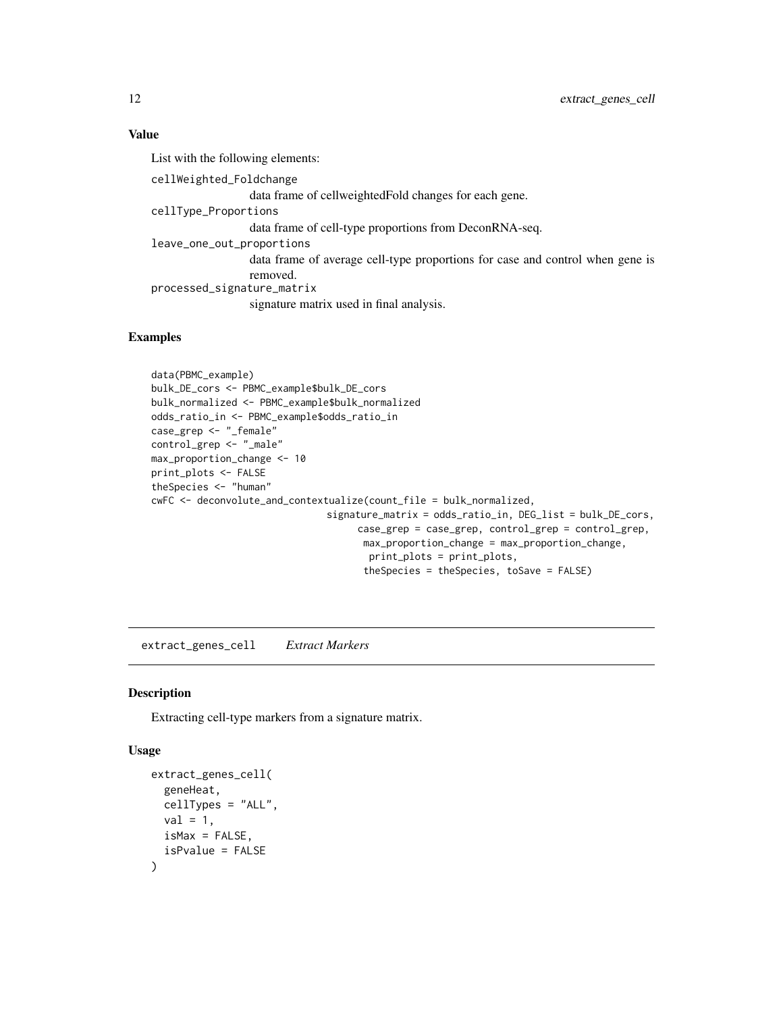## <span id="page-11-0"></span>Value

List with the following elements: cellWeighted\_Foldchange data frame of cellweightedFold changes for each gene. cellType\_Proportions data frame of cell-type proportions from DeconRNA-seq. leave\_one\_out\_proportions data frame of average cell-type proportions for case and control when gene is removed. processed\_signature\_matrix signature matrix used in final analysis.

## Examples

```
data(PBMC_example)
bulk_DE_cors <- PBMC_example$bulk_DE_cors
bulk_normalized <- PBMC_example$bulk_normalized
odds_ratio_in <- PBMC_example$odds_ratio_in
case_grep <- "_female"
control_grep <- "_male"
max_proportion_change <- 10
print_plots <- FALSE
theSpecies <- "human"
cwFC <- deconvolute_and_contextualize(count_file = bulk_normalized,
                               signature_matrix = odds_ratio_in, DEG_list = bulk_DE_cors,
                                    case_grep = case_grep, control_grep = control_grep,
                                     max_proportion_change = max_proportion_change,
                                      print_plots = print_plots,
                                     theSpecies = theSpecies, toSave = FALSE)
```
extract\_genes\_cell *Extract Markers*

#### Description

Extracting cell-type markers from a signature matrix.

#### Usage

```
extract_genes_cell(
  geneHeat,
 cellTypes = "ALL",
 val = 1,
  isMax = FALSE,
  isPvalue = FALSE
)
```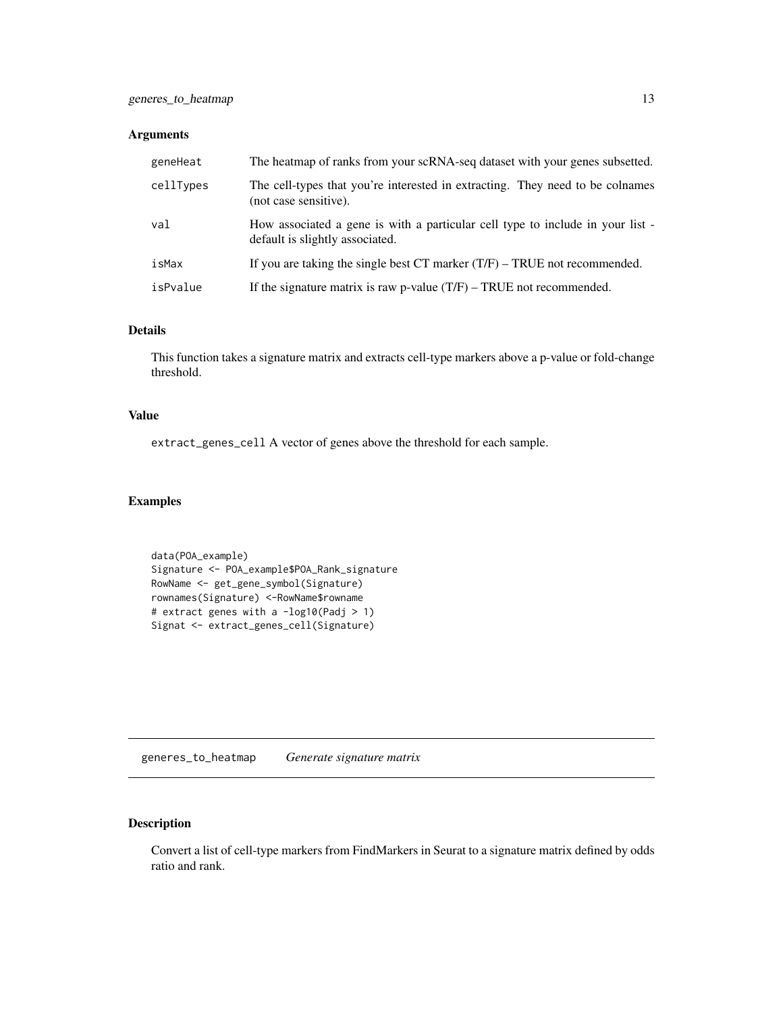#### <span id="page-12-0"></span>Arguments

| geneHeat  | The heatmap of ranks from your scRNA-seq dataset with your genes subsetted.                                       |
|-----------|-------------------------------------------------------------------------------------------------------------------|
| cellTypes | The cell-types that you're interested in extracting. They need to be colnames<br>(not case sensitive).            |
| val       | How associated a gene is with a particular cell type to include in your list -<br>default is slightly associated. |
| isMax     | If you are taking the single best $CT$ marker $(T/F)$ – TRUE not recommended.                                     |
| isPvalue  | If the signature matrix is raw p-value $(T/F)$ – TRUE not recommended.                                            |

#### Details

This function takes a signature matrix and extracts cell-type markers above a p-value or fold-change threshold.

## Value

extract\_genes\_cell A vector of genes above the threshold for each sample.

## Examples

```
data(POA_example)
Signature <- POA_example$POA_Rank_signature
RowName <- get_gene_symbol(Signature)
rownames(Signature) <-RowName$rowname
# extract genes with a -log10(Padj > 1)
Signat <- extract_genes_cell(Signature)
```
generes\_to\_heatmap *Generate signature matrix*

## Description

Convert a list of cell-type markers from FindMarkers in Seurat to a signature matrix defined by odds ratio and rank.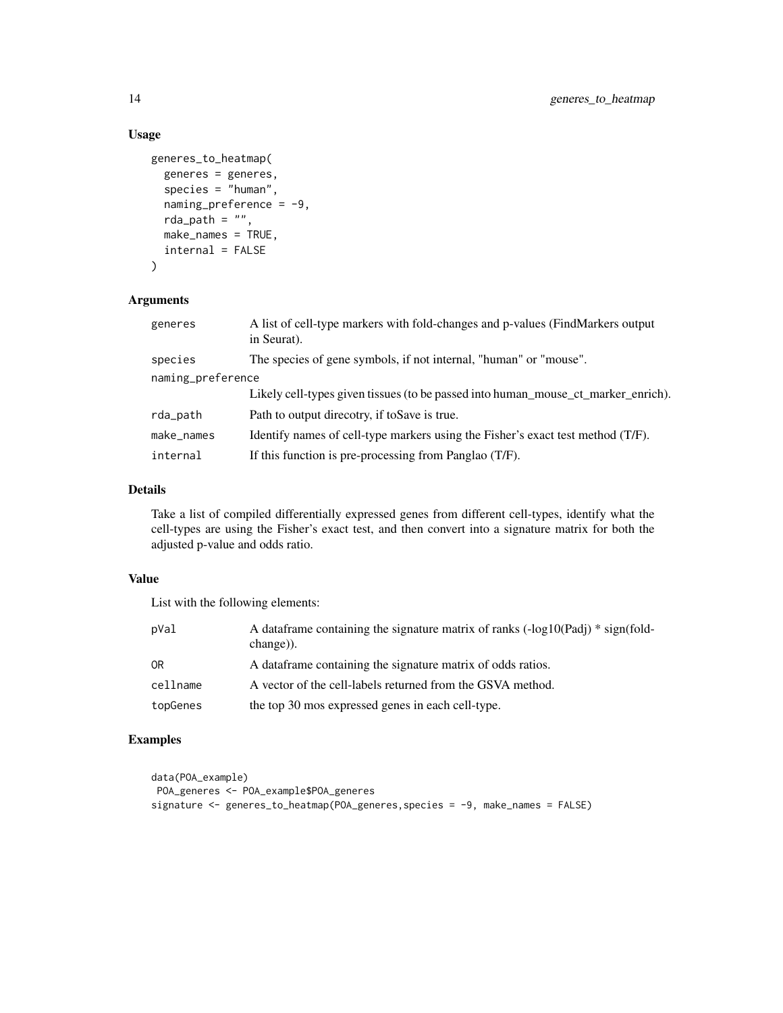## Usage

```
generes_to_heatmap(
 generes = generes,
  species = "human",
  naming\_preference = -9,rda_path = ",
 make_names = TRUE,
  internal = FALSE
)
```
## Arguments

| generes           | A list of cell-type markers with fold-changes and p-values (FindMarkers output<br>in Seurat). |  |
|-------------------|-----------------------------------------------------------------------------------------------|--|
| species           | The species of gene symbols, if not internal, "human" or "mouse".                             |  |
| naming_preference |                                                                                               |  |
|                   | Likely cell-types given tissues (to be passed into human_mouse_ct_marker_enrich).             |  |
| rda_path          | Path to output direcotry, if to Save is true.                                                 |  |
| make_names        | Identify names of cell-type markers using the Fisher's exact test method (T/F).               |  |
| internal          | If this function is pre-processing from Panglao (T/F).                                        |  |

#### Details

Take a list of compiled differentially expressed genes from different cell-types, identify what the cell-types are using the Fisher's exact test, and then convert into a signature matrix for both the adjusted p-value and odds ratio.

## Value

List with the following elements:

| pVal     | A data frame containing the signature matrix of ranks $(-log 10(Padi) * sign(fold-$<br>change)). |
|----------|--------------------------------------------------------------------------------------------------|
| 0R       | A data frame containing the signature matrix of odds ratios.                                     |
| cellname | A vector of the cell-labels returned from the GSVA method.                                       |
| topGenes | the top 30 mos expressed genes in each cell-type.                                                |

## Examples

```
data(POA_example)
POA_generes <- POA_example$POA_generes
signature <- generes_to_heatmap(POA_generes,species = -9, make_names = FALSE)
```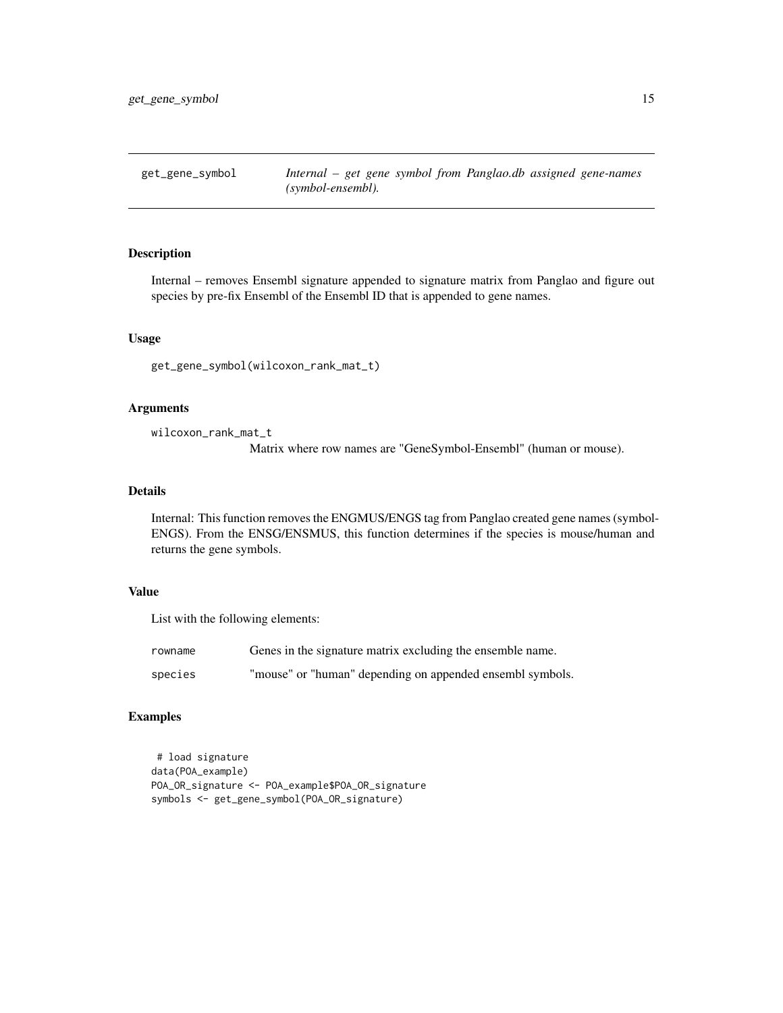<span id="page-14-0"></span>

## Description

Internal – removes Ensembl signature appended to signature matrix from Panglao and figure out species by pre-fix Ensembl of the Ensembl ID that is appended to gene names.

## Usage

get\_gene\_symbol(wilcoxon\_rank\_mat\_t)

#### Arguments

wilcoxon\_rank\_mat\_t

Matrix where row names are "GeneSymbol-Ensembl" (human or mouse).

#### Details

Internal: This function removes the ENGMUS/ENGS tag from Panglao created gene names (symbol-ENGS). From the ENSG/ENSMUS, this function determines if the species is mouse/human and returns the gene symbols.

## Value

List with the following elements:

| rowname | Genes in the signature matrix excluding the ensemble name. |
|---------|------------------------------------------------------------|
| species | "mouse" or "human" depending on appended ensembl symbols.  |

## Examples

```
# load signature
data(POA_example)
POA_OR_signature <- POA_example$POA_OR_signature
symbols <- get_gene_symbol(POA_OR_signature)
```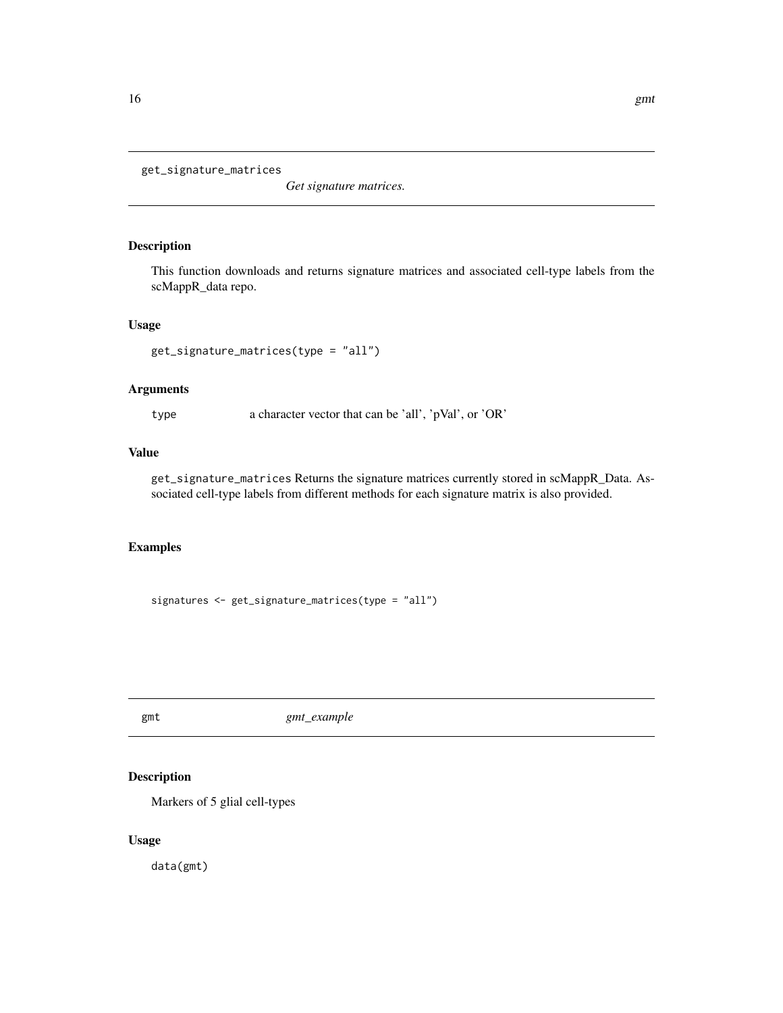```
get_signature_matrices
```
*Get signature matrices.*

## Description

This function downloads and returns signature matrices and associated cell-type labels from the scMappR\_data repo.

## Usage

```
get_signature_matrices(type = "all")
```
## Arguments

type a character vector that can be 'all', 'pVal', or 'OR'

## Value

get\_signature\_matrices Returns the signature matrices currently stored in scMappR\_Data. Associated cell-type labels from different methods for each signature matrix is also provided.

## Examples

signatures <- get\_signature\_matrices(type = "all")

gmt *gmt\_example*

## Description

Markers of 5 glial cell-types

#### Usage

data(gmt)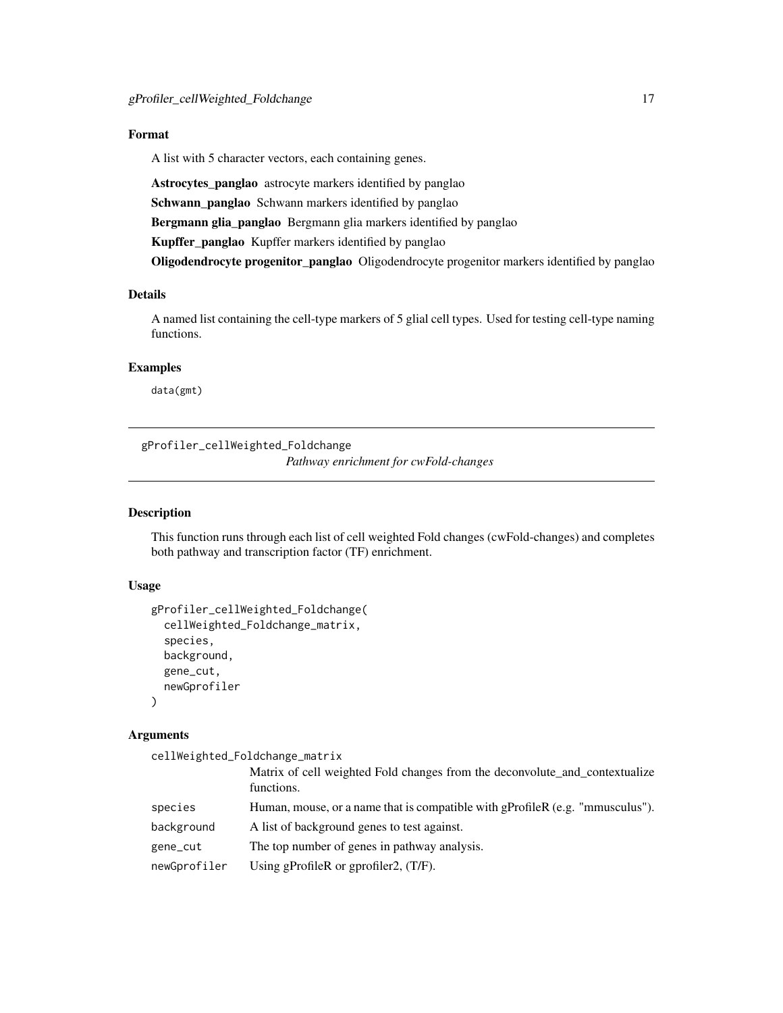## <span id="page-16-0"></span>Format

A list with 5 character vectors, each containing genes.

Astrocytes\_panglao astrocyte markers identified by panglao Schwann\_panglao Schwann markers identified by panglao Bergmann glia\_panglao Bergmann glia markers identified by panglao Kupffer\_panglao Kupffer markers identified by panglao

Oligodendrocyte progenitor\_panglao Oligodendrocyte progenitor markers identified by panglao

## Details

A named list containing the cell-type markers of 5 glial cell types. Used for testing cell-type naming functions.

#### Examples

data(gmt)

gProfiler\_cellWeighted\_Foldchange *Pathway enrichment for cwFold-changes*

## **Description**

This function runs through each list of cell weighted Fold changes (cwFold-changes) and completes both pathway and transcription factor (TF) enrichment.

## Usage

```
gProfiler_cellWeighted_Foldchange(
  cellWeighted_Foldchange_matrix,
  species,
 background,
 gene_cut,
 newGprofiler
)
```
#### Arguments

cellWeighted\_Foldchange\_matrix

|              | Matrix of cell weighted Fold changes from the deconvolute_and_contextualize<br>functions. |
|--------------|-------------------------------------------------------------------------------------------|
| species      | Human, mouse, or a name that is compatible with gProfileR (e.g. "mmusculus").             |
| background   | A list of background genes to test against.                                               |
| gene_cut     | The top number of genes in pathway analysis.                                              |
| newGprofiler | Using gProfileR or gprofiler2, $(T/F)$ .                                                  |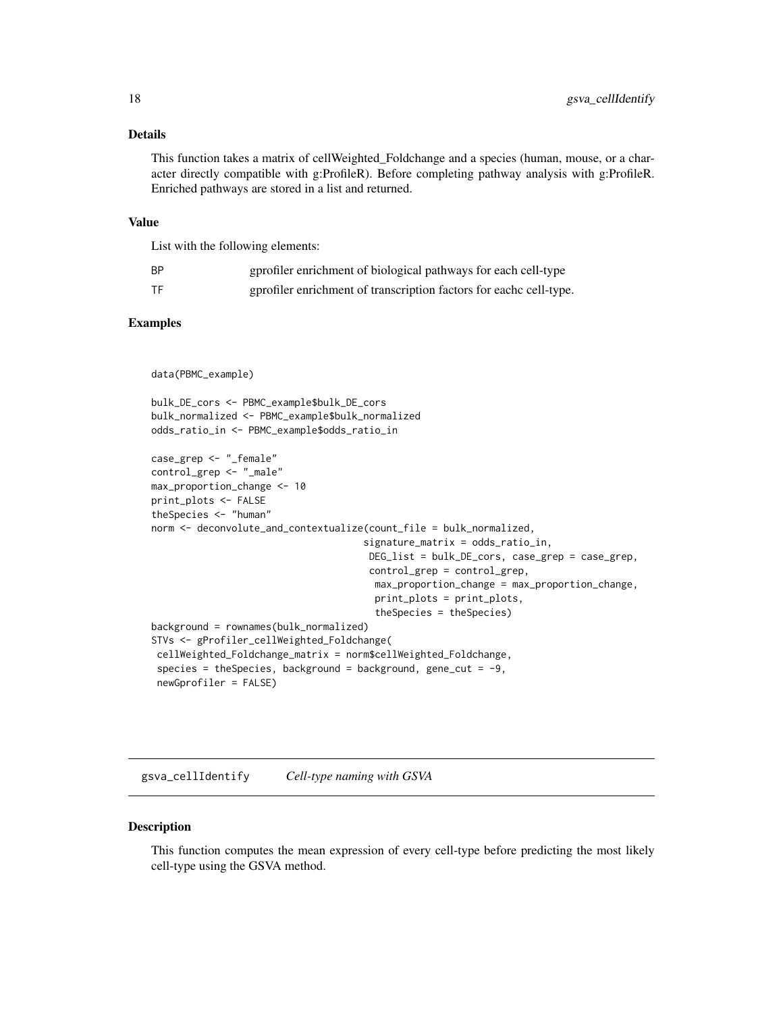#### <span id="page-17-0"></span>Details

This function takes a matrix of cellWeighted\_Foldchange and a species (human, mouse, or a character directly compatible with g:ProfileR). Before completing pathway analysis with g:ProfileR. Enriched pathways are stored in a list and returned.

#### Value

List with the following elements:

| ΒP | gprofiler enrichment of biological pathways for each cell-type    |
|----|-------------------------------------------------------------------|
| TF | gprofiler enrichment of transcription factors for each cell-type. |

## Examples

```
data(PBMC_example)
```

```
bulk_DE_cors <- PBMC_example$bulk_DE_cors
bulk_normalized <- PBMC_example$bulk_normalized
odds_ratio_in <- PBMC_example$odds_ratio_in
case_grep <- "_female"
```

```
control_grep <- "_male"
max_proportion_change <- 10
print_plots <- FALSE
theSpecies <- "human"
norm <- deconvolute_and_contextualize(count_file = bulk_normalized,
                                     signature_matrix = odds_ratio_in,
                                      DEG_list = bulk_DE_cors, case_grep = case_grep,
                                      control_grep = control_grep,
                                       max_proportion_change = max_proportion_change,
                                       print_plots = print_plots,
                                       theSpecies = theSpecies)
background = rownames(bulk_normalized)
STVs <- gProfiler_cellWeighted_Foldchange(
 cellWeighted_Foldchange_matrix = norm$cellWeighted_Foldchange,
 species = theSpecies, background = background, gene_cut = -9,
 newGprofiler = FALSE)
```
gsva\_cellIdentify *Cell-type naming with GSVA*

#### Description

This function computes the mean expression of every cell-type before predicting the most likely cell-type using the GSVA method.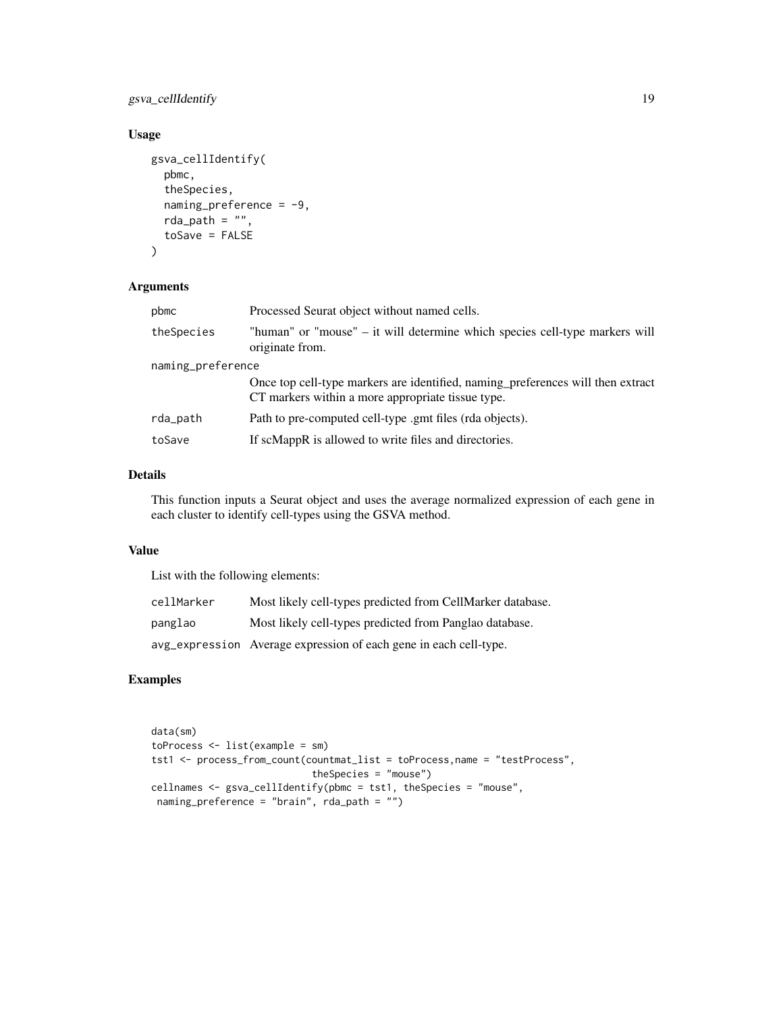gsva\_cellIdentify 19

## Usage

```
gsva_cellIdentify(
 pbmc,
  theSpecies,
 naming_preference = -9,
 rda_path = ",
  toSave = FALSE
)
```
#### Arguments

| pbmc              | Processed Seurat object without named cells.                                                                                         |  |
|-------------------|--------------------------------------------------------------------------------------------------------------------------------------|--|
| theSpecies        | "human" or "mouse" – it will determine which species cell-type markers will<br>originate from.                                       |  |
| naming_preference |                                                                                                                                      |  |
|                   | Once top cell-type markers are identified, naming preferences will then extract<br>CT markers within a more appropriate tissue type. |  |
| rda_path          | Path to pre-computed cell-type .gmt files (rda objects).                                                                             |  |
| toSave            | If scMappR is allowed to write files and directories.                                                                                |  |

## Details

This function inputs a Seurat object and uses the average normalized expression of each gene in each cluster to identify cell-types using the GSVA method.

#### Value

List with the following elements:

| cellMarker | Most likely cell-types predicted from CellMarker database.        |
|------------|-------------------------------------------------------------------|
| panglao    | Most likely cell-types predicted from Panglao database.           |
|            | avg_expression Average expression of each gene in each cell-type. |

## Examples

```
data(sm)
toProcess <- list(example = sm)
tst1 <- process_from_count(countmat_list = toProcess,name = "testProcess",
                            theSpecies = "mouse")
cellnames <- gsva_cellIdentify(pbmc = tst1, theSpecies = "mouse",
 naming_preference = "brain", rda_path = "")
```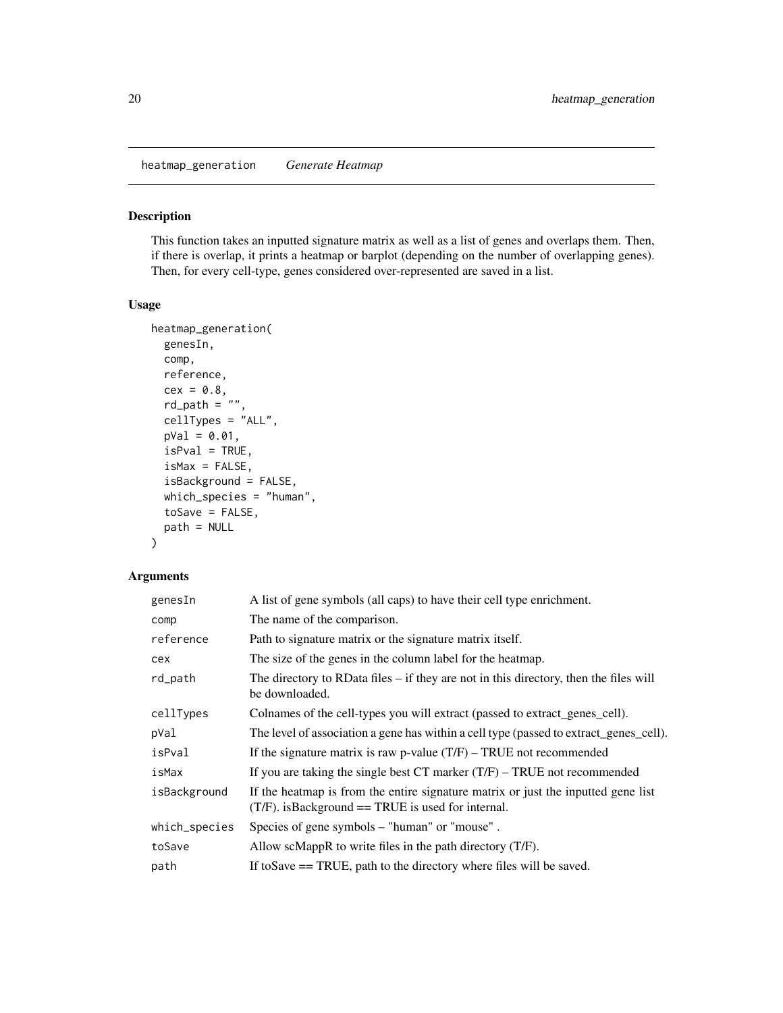<span id="page-19-0"></span>heatmap\_generation *Generate Heatmap*

#### Description

This function takes an inputted signature matrix as well as a list of genes and overlaps them. Then, if there is overlap, it prints a heatmap or barplot (depending on the number of overlapping genes). Then, for every cell-type, genes considered over-represented are saved in a list.

#### Usage

```
heatmap_generation(
  genesIn,
  comp,
  reference,
  cex = 0.8,
  rd-path = \sqrt{n}",
  cellTypes = "ALL",
  pVal = 0.01,
  isPval = TRUE,isMax = FALSE,
  isBackground = FALSE,
  which_species = "human",
  toSave = FALSE,path = NULL
\mathcal{L}
```
## Arguments

| genesIn       | A list of gene symbols (all caps) to have their cell type enrichment.                                                                     |
|---------------|-------------------------------------------------------------------------------------------------------------------------------------------|
| comp          | The name of the comparison.                                                                                                               |
| reference     | Path to signature matrix or the signature matrix itself.                                                                                  |
| cex           | The size of the genes in the column label for the heatmap.                                                                                |
| rd_path       | The directory to RData files $-$ if they are not in this directory, then the files will<br>be downloaded.                                 |
| cellTypes     | Colnames of the cell-types you will extract (passed to extract_genes_cell).                                                               |
| pVal          | The level of association a gene has within a cell type (passed to extract_genes_cell).                                                    |
| isPval        | If the signature matrix is raw p-value $(T/F)$ – TRUE not recommended                                                                     |
| isMax         | If you are taking the single best $CT$ marker $(T/F)$ – TRUE not recommended                                                              |
| isBackground  | If the heatmap is from the entire signature matrix or just the inputted gene list<br>$(T/F)$ . is Background = TRUE is used for internal. |
| which_species | Species of gene symbols – "human" or "mouse".                                                                                             |
| toSave        | Allow scMappR to write files in the path directory $(T/F)$ .                                                                              |
| path          | If to Save $==$ TRUE, path to the directory where files will be saved.                                                                    |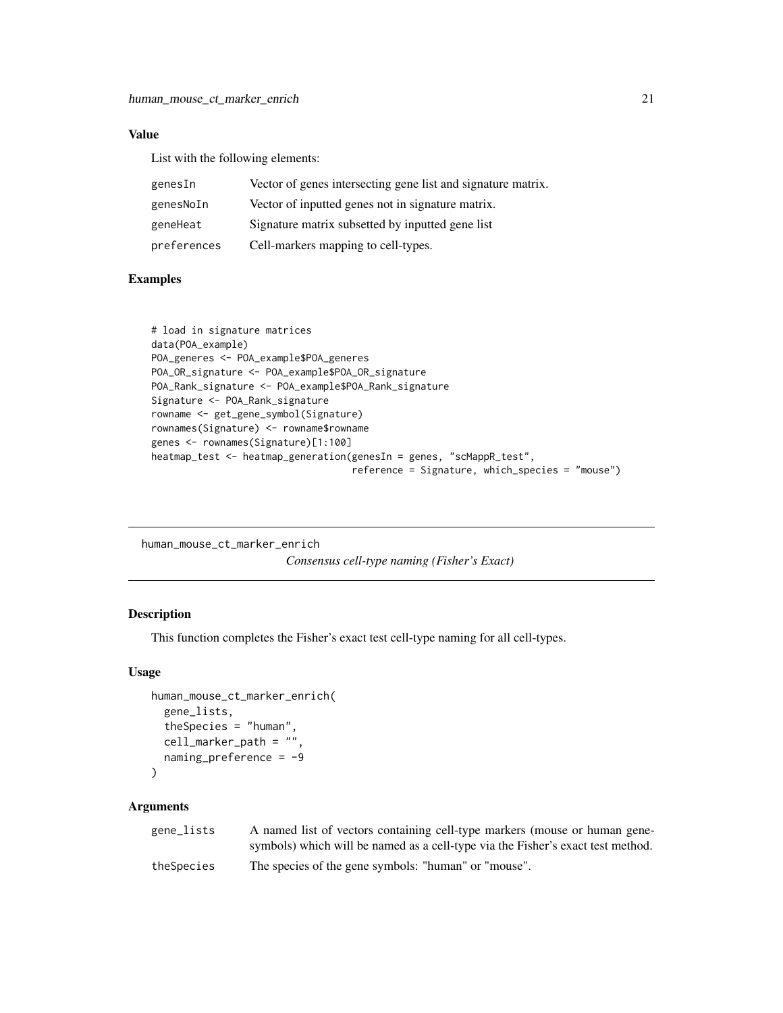## <span id="page-20-0"></span>Value

List with the following elements:

| genesIn     | Vector of genes intersecting gene list and signature matrix. |
|-------------|--------------------------------------------------------------|
| genesNoIn   | Vector of inputted genes not in signature matrix.            |
| geneHeat    | Signature matrix subsetted by inputted gene list             |
| preferences | Cell-markers mapping to cell-types.                          |

## Examples

```
# load in signature matrices
data(POA_example)
POA_generes <- POA_example$POA_generes
POA_OR_signature <- POA_example$POA_OR_signature
POA_Rank_signature <- POA_example$POA_Rank_signature
Signature <- POA_Rank_signature
rowname <- get_gene_symbol(Signature)
rownames(Signature) <- rowname$rowname
genes <- rownames(Signature)[1:100]
heatmap_test <- heatmap_generation(genesIn = genes, "scMappR_test",
                                   reference = Signature, which_species = "mouse")
```

```
human_mouse_ct_marker_enrich
```
*Consensus cell-type naming (Fisher's Exact)*

#### Description

This function completes the Fisher's exact test cell-type naming for all cell-types.

#### Usage

```
human_mouse_ct_marker_enrich(
  gene_lists,
  theSpecies = "human",
  cell_marker_path = "",
  naming_preference = -9
)
```
#### Arguments

| gene_lists | A named list of vectors containing cell-type markers (mouse or human gene-      |
|------------|---------------------------------------------------------------------------------|
|            | symbols) which will be named as a cell-type via the Fisher's exact test method. |
| theSpecies | The species of the gene symbols: "human" or "mouse".                            |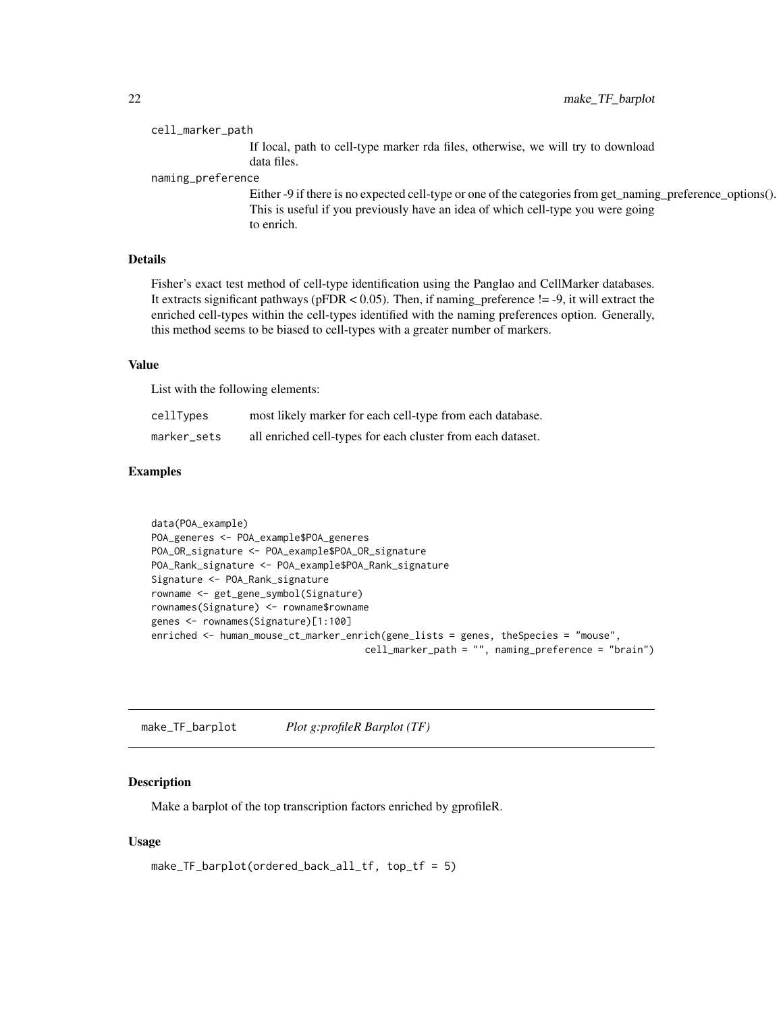#### <span id="page-21-0"></span>cell\_marker\_path

If local, path to cell-type marker rda files, otherwise, we will try to download data files.

naming\_preference

Either -9 if there is no expected cell-type or one of the categories from get\_naming\_preference\_options(). This is useful if you previously have an idea of which cell-type you were going to enrich.

#### Details

Fisher's exact test method of cell-type identification using the Panglao and CellMarker databases. It extracts significant pathways ( $pFDR < 0.05$ ). Then, if naming\_preference != -9, it will extract the enriched cell-types within the cell-types identified with the naming preferences option. Generally, this method seems to be biased to cell-types with a greater number of markers.

#### Value

List with the following elements:

| cellTypes   | most likely marker for each cell-type from each database.   |
|-------------|-------------------------------------------------------------|
| marker_sets | all enriched cell-types for each cluster from each dataset. |

## Examples

```
data(POA_example)
POA_generes <- POA_example$POA_generes
POA_OR_signature <- POA_example$POA_OR_signature
POA_Rank_signature <- POA_example$POA_Rank_signature
Signature <- POA_Rank_signature
rowname <- get_gene_symbol(Signature)
rownames(Signature) <- rowname$rowname
genes <- rownames(Signature)[1:100]
enriched <- human_mouse_ct_marker_enrich(gene_lists = genes, theSpecies = "mouse",
                                     cell_marker_path = "", naming_preference = "brain")
```
make\_TF\_barplot *Plot g:profileR Barplot (TF)*

#### Description

Make a barplot of the top transcription factors enriched by gprofileR.

#### Usage

```
make_TF_barplot(ordered_back_all_tf, top_tf = 5)
```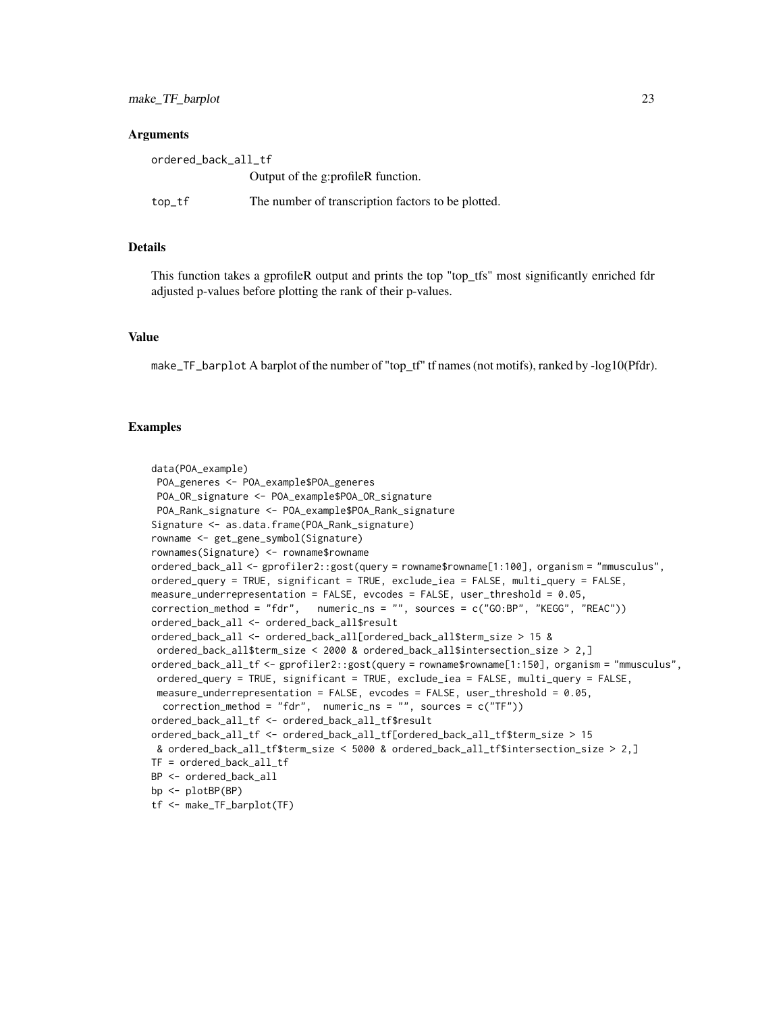#### **Arguments**

| ordered_back_all_tf |                                                    |
|---------------------|----------------------------------------------------|
|                     | Output of the g:profileR function.                 |
| $top_f$             | The number of transcription factors to be plotted. |

## Details

This function takes a gprofileR output and prints the top "top\_tfs" most significantly enriched fdr adjusted p-values before plotting the rank of their p-values.

#### Value

make\_TF\_barplot A barplot of the number of "top\_tf" tf names (not motifs), ranked by -log10(Pfdr).

#### Examples

```
data(POA_example)
 POA_generes <- POA_example$POA_generes
 POA_OR_signature <- POA_example$POA_OR_signature
 POA_Rank_signature <- POA_example$POA_Rank_signature
Signature <- as.data.frame(POA_Rank_signature)
rowname <- get_gene_symbol(Signature)
rownames(Signature) <- rowname$rowname
ordered_back_all <- gprofiler2::gost(query = rowname$rowname[1:100], organism = "mmusculus",
ordered_query = TRUE, significant = TRUE, exclude_iea = FALSE, multi_query = FALSE,
measure_underrepresentation = FALSE, evcodes = FALSE, user_threshold = 0.05,
correction_method = "fdr", numeric_ns = "", sources = c("GO:BP", "KEGG", "REAC"))
ordered_back_all <- ordered_back_all$result
ordered_back_all <- ordered_back_all[ordered_back_all$term_size > 15 &
 ordered_back_all$term_size < 2000 & ordered_back_all$intersection_size > 2,]
ordered_back_all_tf <- gprofiler2::gost(query = rowname$rowname[1:150], organism = "mmusculus",
 ordered_query = TRUE, significant = TRUE, exclude_iea = FALSE, multi_query = FALSE,
 measure_underrepresentation = FALSE, evcodes = FALSE, user_threshold = 0.05,
  correction_method = "fdr", numeric_ns = "", sources = c("TF"))
ordered_back_all_tf <- ordered_back_all_tf$result
ordered_back_all_tf <- ordered_back_all_tf[ordered_back_all_tf$term_size > 15
 & ordered_back_all_tf$term_size < 5000 & ordered_back_all_tf$intersection_size > 2,]
TF = ordered_back_all_tf
BP <- ordered_back_all
bp <- plotBP(BP)
tf <- make_TF_barplot(TF)
```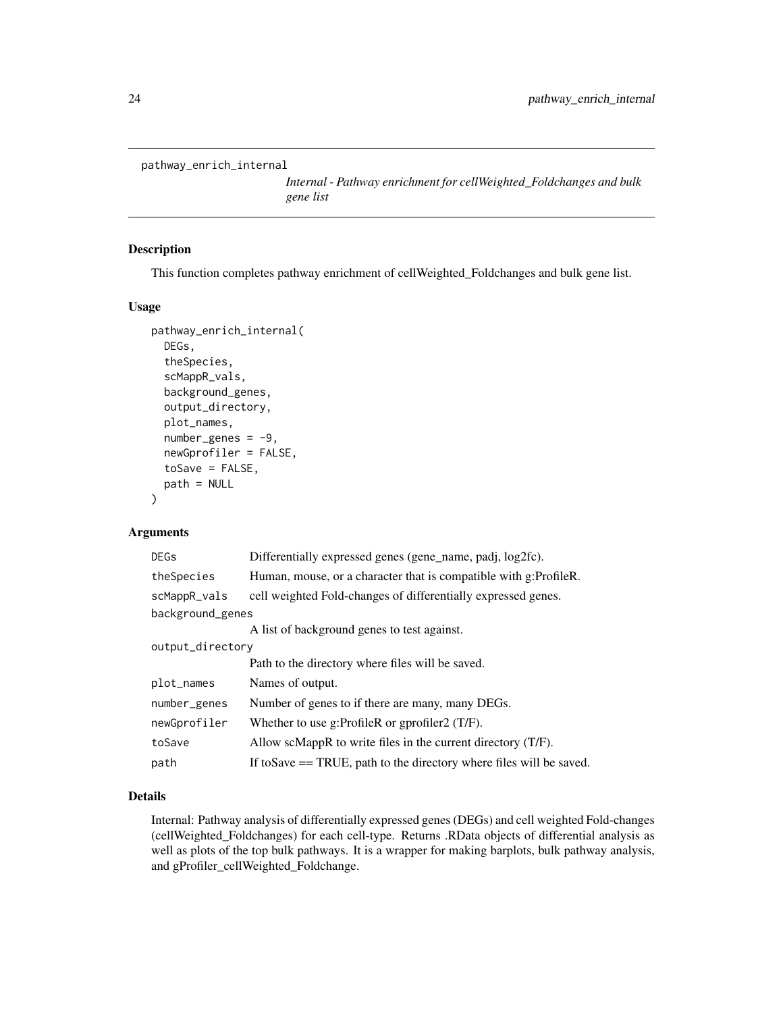```
pathway_enrich_internal
```
*Internal - Pathway enrichment for cellWeighted\_Foldchanges and bulk gene list*

#### Description

This function completes pathway enrichment of cellWeighted\_Foldchanges and bulk gene list.

#### Usage

```
pathway_enrich_internal(
  DEGs,
  theSpecies,
  scMappR_vals,
  background_genes,
  output_directory,
 plot_names,
  number\_genes = -9,
  newGprofiler = FALSE,
  toSave = FALSE,path = NULL
)
```
#### Arguments

| <b>DEGs</b>      | Differentially expressed genes (gene_name, padj, log2fc).              |  |
|------------------|------------------------------------------------------------------------|--|
| theSpecies       | Human, mouse, or a character that is compatible with g:ProfileR.       |  |
| scMappR_vals     | cell weighted Fold-changes of differentially expressed genes.          |  |
| background_genes |                                                                        |  |
|                  | A list of background genes to test against.                            |  |
| output_directory |                                                                        |  |
|                  | Path to the directory where files will be saved.                       |  |
| plot_names       | Names of output.                                                       |  |
| number_genes     | Number of genes to if there are many, many DEGs.                       |  |
| newGprofiler     | Whether to use g:ProfileR or gprofiler2 $(T/F)$ .                      |  |
| toSave           | Allow scMappR to write files in the current directory $(T/F)$ .        |  |
| path             | If to Save $==$ TRUE, path to the directory where files will be saved. |  |

## Details

Internal: Pathway analysis of differentially expressed genes (DEGs) and cell weighted Fold-changes (cellWeighted\_Foldchanges) for each cell-type. Returns .RData objects of differential analysis as well as plots of the top bulk pathways. It is a wrapper for making barplots, bulk pathway analysis, and gProfiler\_cellWeighted\_Foldchange.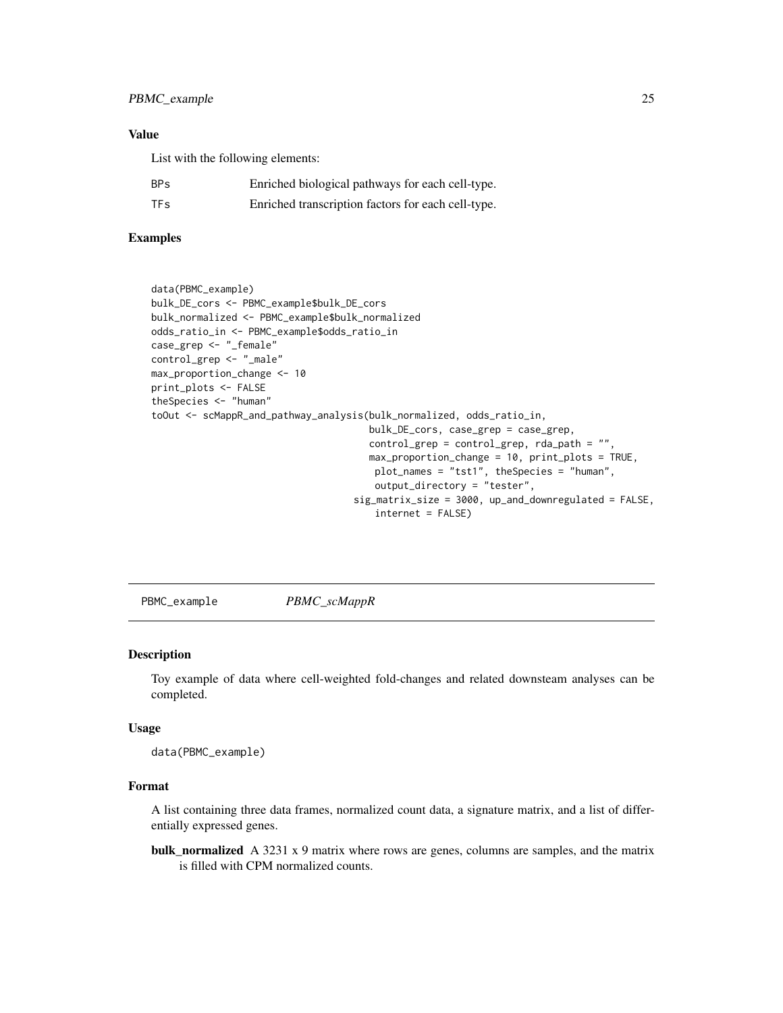#### <span id="page-24-0"></span>Value

List with the following elements:

| BPs | Enriched biological pathways for each cell-type.   |
|-----|----------------------------------------------------|
| TFs | Enriched transcription factors for each cell-type. |

## Examples

```
data(PBMC_example)
bulk_DE_cors <- PBMC_example$bulk_DE_cors
bulk_normalized <- PBMC_example$bulk_normalized
odds_ratio_in <- PBMC_example$odds_ratio_in
case_grep <- "_female"
control_grep <- "_male"
max_proportion_change <- 10
print_plots <- FALSE
theSpecies <- "human"
toOut <- scMappR_and_pathway_analysis(bulk_normalized, odds_ratio_in,
                                      bulk_DE_cors, case_grep = case_grep,
                                      control_grep = control_grep, rda_path = "",
                                      max_proportion_change = 10, print_plots = TRUE,
                                       plot_names = "tst1", theSpecies = "human",
                                       output_directory = "tester",
                                   sig_matrix_size = 3000, up_and_downregulated = FALSE,
                                       internet = FALSE)
```
PBMC\_example *PBMC\_scMappR*

#### Description

Toy example of data where cell-weighted fold-changes and related downsteam analyses can be completed.

#### Usage

data(PBMC\_example)

#### Format

A list containing three data frames, normalized count data, a signature matrix, and a list of differentially expressed genes.

**bulk\_normalized** A 3231 x 9 matrix where rows are genes, columns are samples, and the matrix is filled with CPM normalized counts.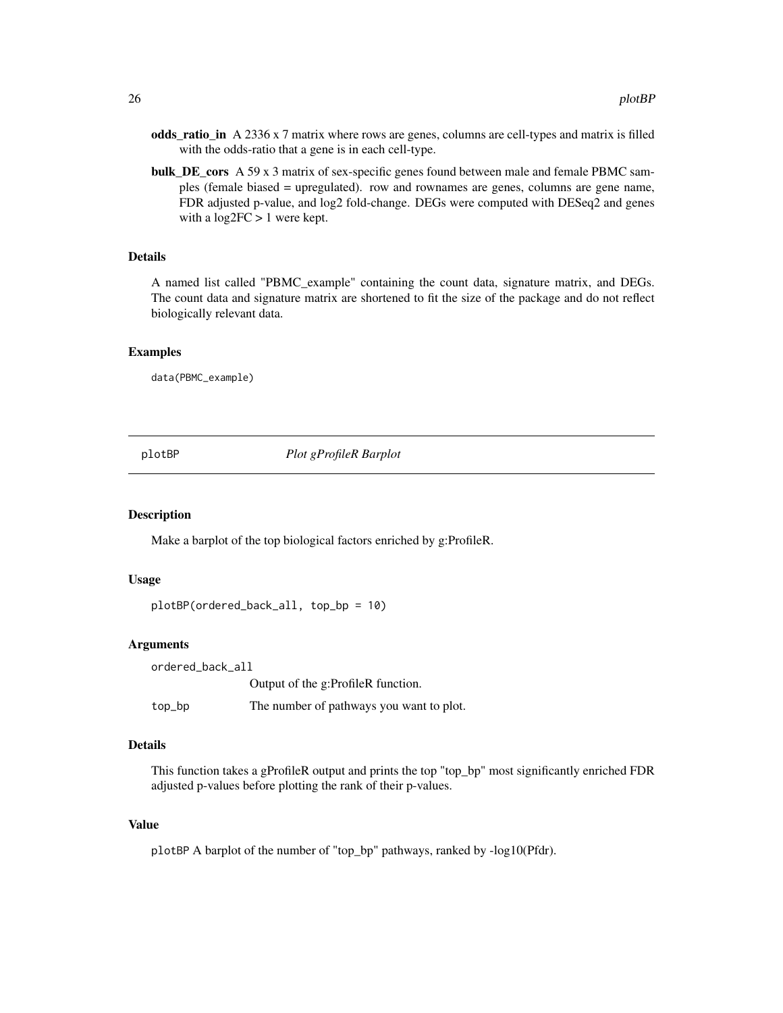- <span id="page-25-0"></span>odds\_ratio\_in A 2336 x 7 matrix where rows are genes, columns are cell-types and matrix is filled with the odds-ratio that a gene is in each cell-type.
- bulk\_DE\_cors A 59 x 3 matrix of sex-specific genes found between male and female PBMC samples (female biased = upregulated). row and rownames are genes, columns are gene name, FDR adjusted p-value, and log2 fold-change. DEGs were computed with DESeq2 and genes with a  $log2FC > 1$  were kept.

#### Details

A named list called "PBMC\_example" containing the count data, signature matrix, and DEGs. The count data and signature matrix are shortened to fit the size of the package and do not reflect biologically relevant data.

#### Examples

data(PBMC\_example)

plotBP *Plot gProfileR Barplot*

#### Description

Make a barplot of the top biological factors enriched by g:ProfileR.

#### Usage

```
plotBP(ordered_back_all, top_bp = 10)
```
#### Arguments

ordered\_back\_all Output of the g:ProfileR function. top\_bp The number of pathways you want to plot.

#### Details

This function takes a gProfileR output and prints the top "top\_bp" most significantly enriched FDR adjusted p-values before plotting the rank of their p-values.

#### Value

plotBP A barplot of the number of "top\_bp" pathways, ranked by -log10(Pfdr).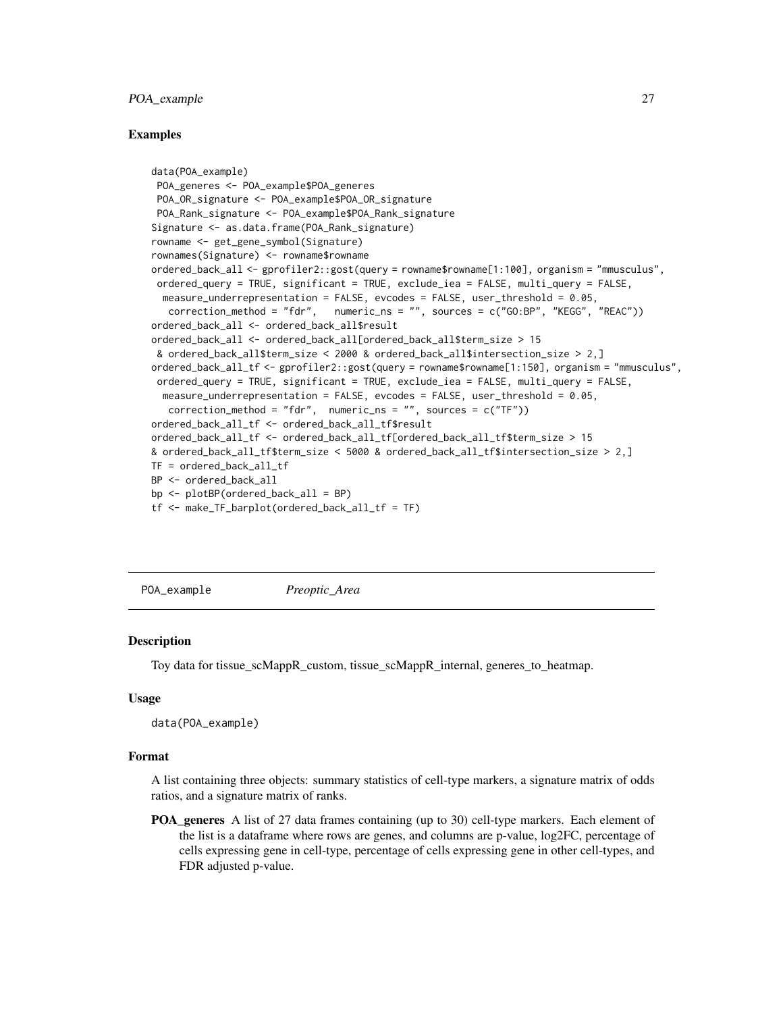#### <span id="page-26-0"></span>POA\_example 27

#### Examples

```
data(POA_example)
 POA_generes <- POA_example$POA_generes
 POA_OR_signature <- POA_example$POA_OR_signature
 POA_Rank_signature <- POA_example$POA_Rank_signature
Signature <- as.data.frame(POA_Rank_signature)
rowname <- get_gene_symbol(Signature)
rownames(Signature) <- rowname$rowname
ordered_back_all <- gprofiler2::gost(query = rowname$rowname[1:100], organism = "mmusculus",
 ordered_query = TRUE, significant = TRUE, exclude_iea = FALSE, multi_query = FALSE,
  measure_underrepresentation = FALSE, evcodes = FALSE, user_threshold = 0.05,
   correction_method = "fdr", numeric_ns = "", sources = c("GO:BP", "KEGG", "REAC"))
ordered_back_all <- ordered_back_all$result
ordered_back_all <- ordered_back_all[ordered_back_all$term_size > 15
 & ordered_back_all$term_size < 2000 & ordered_back_all$intersection_size > 2,]
ordered_back_all_tf <- gprofiler2::gost(query = rowname$rowname[1:150], organism = "mmusculus",
 ordered_query = TRUE, significant = TRUE, exclude_iea = FALSE, multi_query = FALSE,
  measure_underrepresentation = FALSE, evcodes = FALSE, user_threshold = 0.05,
   correction_method = "fdr", numeric_ns = "", sources = c("TF"))
ordered_back_all_tf <- ordered_back_all_tf$result
ordered_back_all_tf <- ordered_back_all_tf[ordered_back_all_tf$term_size > 15
& ordered_back_all_tf$term_size < 5000 & ordered_back_all_tf$intersection_size > 2,]
TF = ordered_back_all_tf
BP <- ordered_back_all
bp <- plotBP(ordered_back_all = BP)
tf <- make_TF_barplot(ordered_back_all_tf = TF)
```
POA\_example *Preoptic\_Area*

#### **Description**

Toy data for tissue\_scMappR\_custom, tissue\_scMappR\_internal, generes\_to\_heatmap.

#### Usage

data(POA\_example)

#### Format

A list containing three objects: summary statistics of cell-type markers, a signature matrix of odds ratios, and a signature matrix of ranks.

**POA** generes A list of 27 data frames containing (up to 30) cell-type markers. Each element of the list is a dataframe where rows are genes, and columns are p-value, log2FC, percentage of cells expressing gene in cell-type, percentage of cells expressing gene in other cell-types, and FDR adjusted p-value.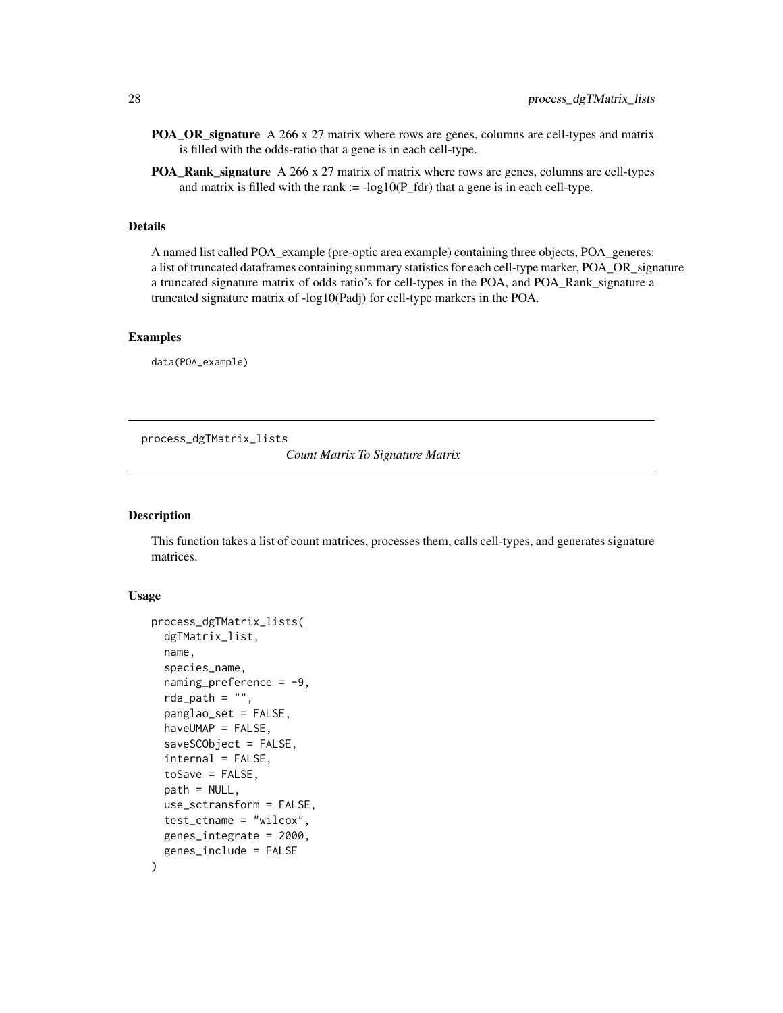- <span id="page-27-0"></span>POA\_OR\_signature A 266 x 27 matrix where rows are genes, columns are cell-types and matrix is filled with the odds-ratio that a gene is in each cell-type.
- POA\_Rank\_signature A 266 x 27 matrix of matrix where rows are genes, columns are cell-types and matrix is filled with the rank  $:= -\log 10(P_{fdr})$  that a gene is in each cell-type.

## Details

A named list called POA\_example (pre-optic area example) containing three objects, POA\_generes: a list of truncated dataframes containing summary statistics for each cell-type marker, POA\_OR\_signature a truncated signature matrix of odds ratio's for cell-types in the POA, and POA\_Rank\_signature a truncated signature matrix of -log10(Padj) for cell-type markers in the POA.

## Examples

data(POA\_example)

process\_dgTMatrix\_lists

*Count Matrix To Signature Matrix*

#### Description

This function takes a list of count matrices, processes them, calls cell-types, and generates signature matrices.

#### Usage

```
process_dgTMatrix_lists(
  dgTMatrix_list,
  name,
  species_name,
  naming_preference = -9,
  rda_path = ",
  panglao_set = FALSE,
  haveUMAP = FALSE,
  saveSCObject = FALSE,
  internal = FALSE,
  toSave = FALSE,path = NULL,use_sctransform = FALSE,
  test_ctname = "wilcox",
  genes_integrate = 2000,
  genes_include = FALSE
)
```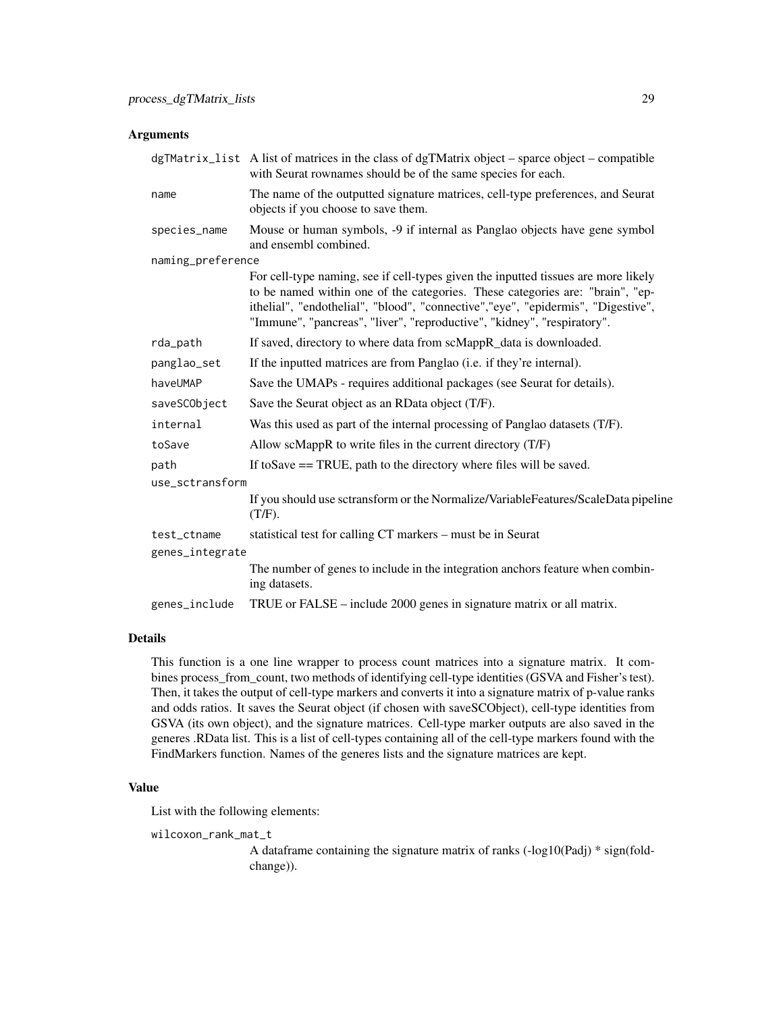#### Arguments

|                   | $dgTMatrix\_list$ A list of matrices in the class of dgTMatrix object – sparce object – compatible<br>with Seurat rownames should be of the same species for each.                                                                                                                                                                 |  |
|-------------------|------------------------------------------------------------------------------------------------------------------------------------------------------------------------------------------------------------------------------------------------------------------------------------------------------------------------------------|--|
| name              | The name of the outputted signature matrices, cell-type preferences, and Seurat<br>objects if you choose to save them.                                                                                                                                                                                                             |  |
| species_name      | Mouse or human symbols, -9 if internal as Panglao objects have gene symbol<br>and ensembl combined.                                                                                                                                                                                                                                |  |
| naming_preference |                                                                                                                                                                                                                                                                                                                                    |  |
|                   | For cell-type naming, see if cell-types given the inputted tissues are more likely<br>to be named within one of the categories. These categories are: "brain", "ep-<br>ithelial", "endothelial", "blood", "connective","eye", "epidermis", "Digestive",<br>"Immune", "pancreas", "liver", "reproductive", "kidney", "respiratory". |  |
| rda_path          | If saved, directory to where data from scMappR_data is downloaded.                                                                                                                                                                                                                                                                 |  |
| panglao_set       | If the inputted matrices are from Panglao (i.e. if they're internal).                                                                                                                                                                                                                                                              |  |
| haveUMAP          | Save the UMAPs - requires additional packages (see Seurat for details).                                                                                                                                                                                                                                                            |  |
| saveSCObject      | Save the Seurat object as an RData object (T/F).                                                                                                                                                                                                                                                                                   |  |
| internal          | Was this used as part of the internal processing of Panglao datasets (T/F).                                                                                                                                                                                                                                                        |  |
| toSave            | Allow scMappR to write files in the current directory (T/F)                                                                                                                                                                                                                                                                        |  |
| path              | If to Save $==$ TRUE, path to the directory where files will be saved.                                                                                                                                                                                                                                                             |  |
| use_sctransform   |                                                                                                                                                                                                                                                                                                                                    |  |
|                   | If you should use sctransform or the Normalize/VariableFeatures/ScaleData pipeline<br>$(T/F)$ .                                                                                                                                                                                                                                    |  |
| test_ctname       | statistical test for calling CT markers – must be in Seurat                                                                                                                                                                                                                                                                        |  |
| genes_integrate   |                                                                                                                                                                                                                                                                                                                                    |  |
|                   | The number of genes to include in the integration anchors feature when combin-<br>ing datasets.                                                                                                                                                                                                                                    |  |
| genes_include     | TRUE or FALSE – include 2000 genes in signature matrix or all matrix.                                                                                                                                                                                                                                                              |  |

## Details

This function is a one line wrapper to process count matrices into a signature matrix. It combines process\_from\_count, two methods of identifying cell-type identities (GSVA and Fisher's test). Then, it takes the output of cell-type markers and converts it into a signature matrix of p-value ranks and odds ratios. It saves the Seurat object (if chosen with saveSCObject), cell-type identities from GSVA (its own object), and the signature matrices. Cell-type marker outputs are also saved in the generes .RData list. This is a list of cell-types containing all of the cell-type markers found with the FindMarkers function. Names of the generes lists and the signature matrices are kept.

## Value

List with the following elements:

wilcoxon\_rank\_mat\_t

A dataframe containing the signature matrix of ranks (-log10(Padj) \* sign(foldchange)).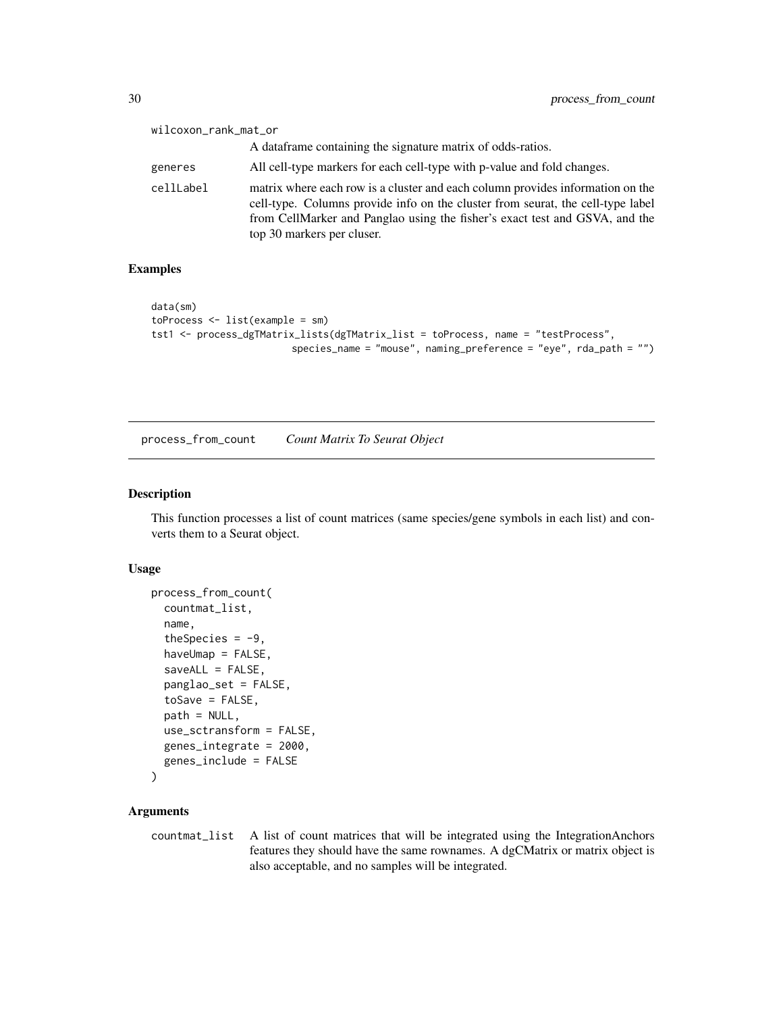<span id="page-29-0"></span>

| wilcoxon_rank_mat_or |                                                                                                                                                                                                                                                                                |
|----------------------|--------------------------------------------------------------------------------------------------------------------------------------------------------------------------------------------------------------------------------------------------------------------------------|
|                      | A data frame containing the signature matrix of odds-ratios.                                                                                                                                                                                                                   |
| generes              | All cell-type markers for each cell-type with p-value and fold changes.                                                                                                                                                                                                        |
| cellLabel            | matrix where each row is a cluster and each column provides information on the<br>cell-type. Columns provide info on the cluster from seurat, the cell-type label<br>from CellMarker and Panglao using the fisher's exact test and GSVA, and the<br>top 30 markers per cluser. |

#### Examples

```
data(sm)
toProcess <- list(example = sm)
tst1 <- process_dgTMatrix_lists(dgTMatrix_list = toProcess, name = "testProcess",
                        species_name = "mouse", naming_preference = "eye", rda_path = "")
```
process\_from\_count *Count Matrix To Seurat Object*

## Description

This function processes a list of count matrices (same species/gene symbols in each list) and converts them to a Seurat object.

## Usage

```
process_from_count(
  countmat_list,
  name,
  theSpecies = -9,
  haveUmap = FALSE,
  saveALL = FALSE,
  panglao_set = FALSE,
  toSave = FALSE,
  path = NULL,
  use_sctransform = FALSE,
  genes_integrate = 2000,
  genes_include = FALSE
)
```
#### Arguments

countmat\_list A list of count matrices that will be integrated using the IntegrationAnchors features they should have the same rownames. A dgCMatrix or matrix object is also acceptable, and no samples will be integrated.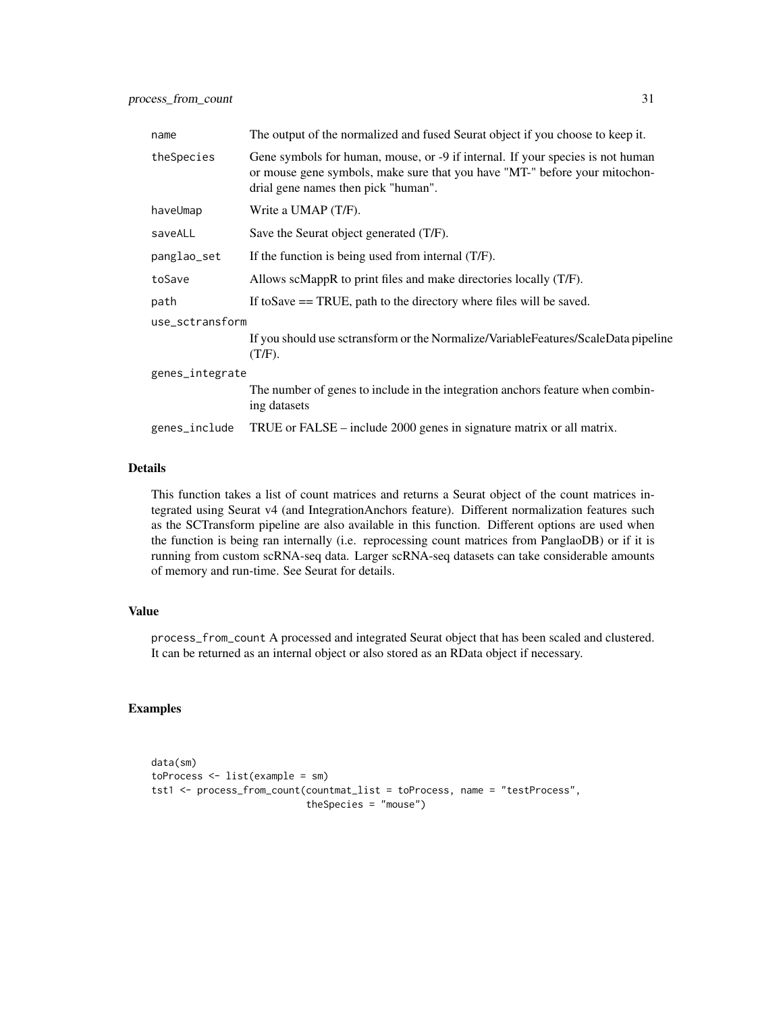| The output of the normalized and fused Seurat object if you choose to keep it.                                                                                                                      |  |  |
|-----------------------------------------------------------------------------------------------------------------------------------------------------------------------------------------------------|--|--|
| Gene symbols for human, mouse, or -9 if internal. If your species is not human<br>or mouse gene symbols, make sure that you have "MT-" before your mitochon-<br>drial gene names then pick "human". |  |  |
| Write a UMAP (T/F).                                                                                                                                                                                 |  |  |
| Save the Seurat object generated (T/F).                                                                                                                                                             |  |  |
| If the function is being used from internal (T/F).                                                                                                                                                  |  |  |
| Allows scMappR to print files and make directories locally (T/F).                                                                                                                                   |  |  |
| If to Save $==$ TRUE, path to the directory where files will be saved.                                                                                                                              |  |  |
| use_sctransform                                                                                                                                                                                     |  |  |
| If you should use sctransform or the Normalize/VariableFeatures/ScaleData pipeline<br>$(T/F)$ .                                                                                                     |  |  |
| genes_integrate                                                                                                                                                                                     |  |  |
| The number of genes to include in the integration anchors feature when combin-<br>ing datasets                                                                                                      |  |  |
| TRUE or FALSE – include 2000 genes in signature matrix or all matrix.                                                                                                                               |  |  |
|                                                                                                                                                                                                     |  |  |

#### Details

This function takes a list of count matrices and returns a Seurat object of the count matrices integrated using Seurat v4 (and IntegrationAnchors feature). Different normalization features such as the SCTransform pipeline are also available in this function. Different options are used when the function is being ran internally (i.e. reprocessing count matrices from PanglaoDB) or if it is running from custom scRNA-seq data. Larger scRNA-seq datasets can take considerable amounts of memory and run-time. See Seurat for details.

## Value

process\_from\_count A processed and integrated Seurat object that has been scaled and clustered. It can be returned as an internal object or also stored as an RData object if necessary.

#### Examples

```
data(sm)
toProcess <- list(example = sm)
tst1 <- process_from_count(countmat_list = toProcess, name = "testProcess",
                           theSpecies = "mouse")
```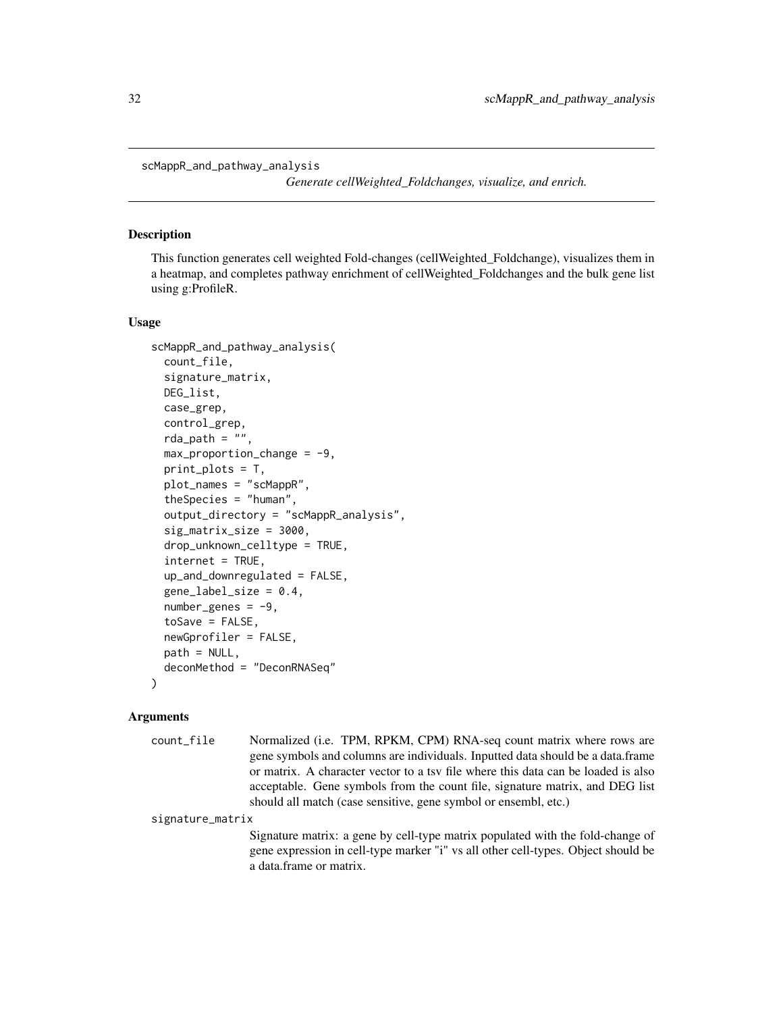<span id="page-31-0"></span>scMappR\_and\_pathway\_analysis

*Generate cellWeighted\_Foldchanges, visualize, and enrich.*

#### Description

This function generates cell weighted Fold-changes (cellWeighted\_Foldchange), visualizes them in a heatmap, and completes pathway enrichment of cellWeighted\_Foldchanges and the bulk gene list using g:ProfileR.

#### Usage

```
scMappR_and_pathway_analysis(
  count_file,
  signature_matrix,
  DEG_list,
  case_grep,
  control_grep,
  rda_path = ",
  max\_proportion\_change = -9,
  print_plots = T,
  plot_names = "scMappR",
  theSpecies = "human",
  output_directory = "scMappR_analysis",
  sig_matrix_size = 3000,
  drop_unknown_celltype = TRUE,
  internet = TRUE,
  up_and_downregulated = FALSE,
  gene_labels\_size = 0.4,
  number\_genes = -9,
  toSave = FALSE,newGprofiler = FALSE,
 path = NULL,
  deconMethod = "DeconRNASeq"
)
```
## **Arguments**

count\_file Normalized (i.e. TPM, RPKM, CPM) RNA-seq count matrix where rows are gene symbols and columns are individuals. Inputted data should be a data.frame or matrix. A character vector to a tsv file where this data can be loaded is also acceptable. Gene symbols from the count file, signature matrix, and DEG list should all match (case sensitive, gene symbol or ensembl, etc.)

signature\_matrix

Signature matrix: a gene by cell-type matrix populated with the fold-change of gene expression in cell-type marker "i" vs all other cell-types. Object should be a data.frame or matrix.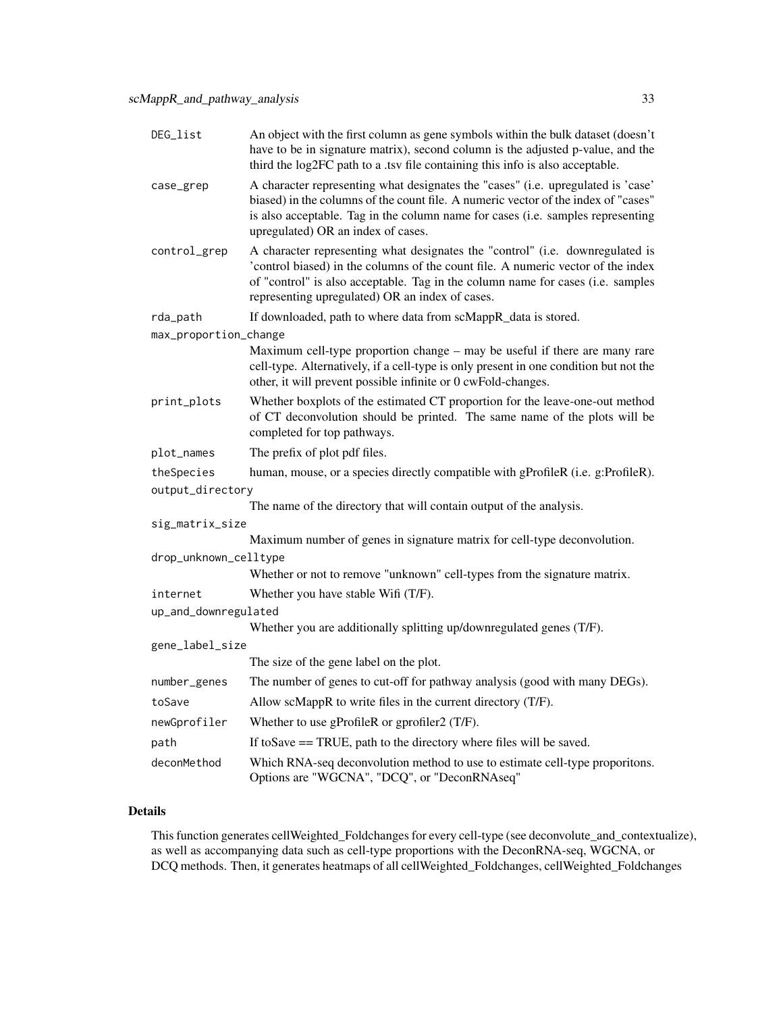| DEG_list              | An object with the first column as gene symbols within the bulk dataset (doesn't<br>have to be in signature matrix), second column is the adjusted p-value, and the<br>third the log2FC path to a .tsv file containing this info is also acceptable.                                                    |
|-----------------------|---------------------------------------------------------------------------------------------------------------------------------------------------------------------------------------------------------------------------------------------------------------------------------------------------------|
| case_grep             | A character representing what designates the "cases" (i.e. upregulated is 'case'<br>biased) in the columns of the count file. A numeric vector of the index of "cases"<br>is also acceptable. Tag in the column name for cases (i.e. samples representing<br>upregulated) OR an index of cases.         |
| control_grep          | A character representing what designates the "control" (i.e. downregulated is<br>'control biased) in the columns of the count file. A numeric vector of the index<br>of "control" is also acceptable. Tag in the column name for cases (i.e. samples<br>representing upregulated) OR an index of cases. |
| rda_path              | If downloaded, path to where data from scMappR_data is stored.                                                                                                                                                                                                                                          |
| max_proportion_change |                                                                                                                                                                                                                                                                                                         |
|                       | Maximum cell-type proportion change – may be useful if there are many rare<br>cell-type. Alternatively, if a cell-type is only present in one condition but not the<br>other, it will prevent possible infinite or 0 cwFold-changes.                                                                    |
| print_plots           | Whether boxplots of the estimated CT proportion for the leave-one-out method<br>of CT deconvolution should be printed. The same name of the plots will be<br>completed for top pathways.                                                                                                                |
| plot_names            | The prefix of plot pdf files.                                                                                                                                                                                                                                                                           |
| theSpecies            | human, mouse, or a species directly compatible with gProfileR (i.e. g:ProfileR).                                                                                                                                                                                                                        |
| output_directory      |                                                                                                                                                                                                                                                                                                         |
|                       | The name of the directory that will contain output of the analysis.                                                                                                                                                                                                                                     |
| sig_matrix_size       |                                                                                                                                                                                                                                                                                                         |
|                       | Maximum number of genes in signature matrix for cell-type deconvolution.                                                                                                                                                                                                                                |
| drop_unknown_celltype |                                                                                                                                                                                                                                                                                                         |
|                       | Whether or not to remove "unknown" cell-types from the signature matrix.                                                                                                                                                                                                                                |
| internet              | Whether you have stable Wifi (T/F).                                                                                                                                                                                                                                                                     |
| up_and_downregulated  | Whether you are additionally splitting up/downregulated genes (T/F).                                                                                                                                                                                                                                    |
| gene_label_size       |                                                                                                                                                                                                                                                                                                         |
|                       | The size of the gene label on the plot.                                                                                                                                                                                                                                                                 |
| number_genes          | The number of genes to cut-off for pathway analysis (good with many DEGs).                                                                                                                                                                                                                              |
| toSave                | Allow scMappR to write files in the current directory (T/F).                                                                                                                                                                                                                                            |
| newGprofiler          | Whether to use gProfileR or gprofiler2 (T/F).                                                                                                                                                                                                                                                           |
| path                  | If to Save $==$ TRUE, path to the directory where files will be saved.                                                                                                                                                                                                                                  |
| deconMethod           | Which RNA-seq deconvolution method to use to estimate cell-type proporitons.<br>Options are "WGCNA", "DCQ", or "DeconRNAseq"                                                                                                                                                                            |

## Details

This function generates cellWeighted\_Foldchanges for every cell-type (see deconvolute\_and\_contextualize), as well as accompanying data such as cell-type proportions with the DeconRNA-seq, WGCNA, or DCQ methods. Then, it generates heatmaps of all cellWeighted\_Foldchanges, cellWeighted\_Foldchanges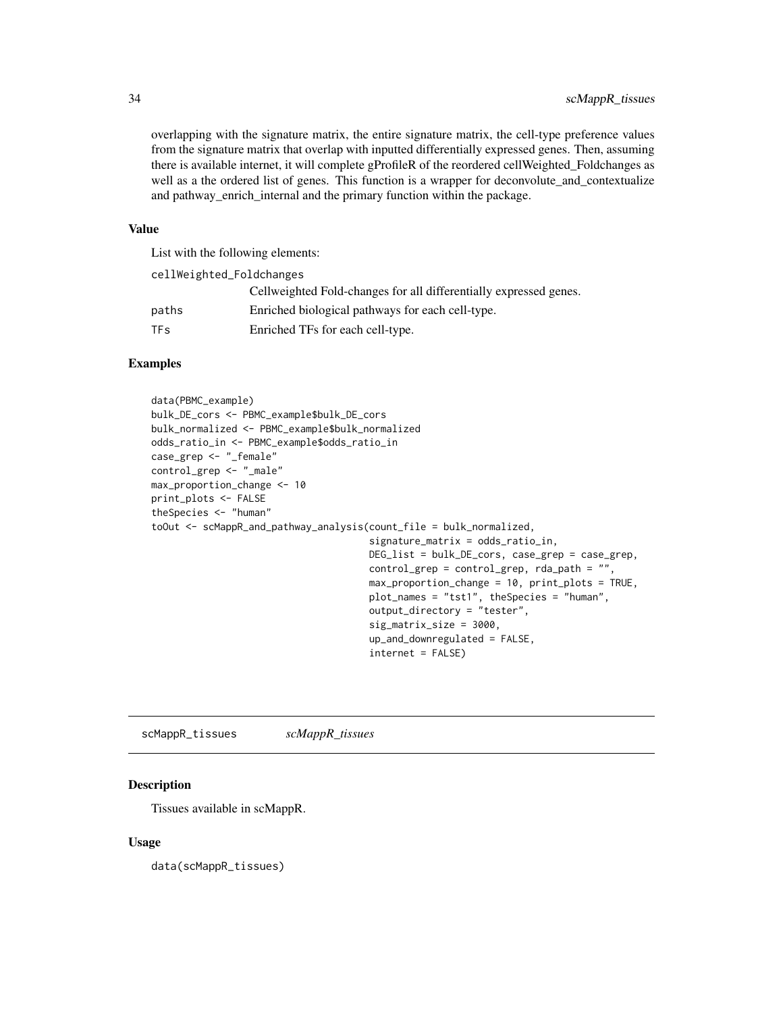<span id="page-33-0"></span>overlapping with the signature matrix, the entire signature matrix, the cell-type preference values from the signature matrix that overlap with inputted differentially expressed genes. Then, assuming there is available internet, it will complete gProfileR of the reordered cellWeighted\_Foldchanges as well as a the ordered list of genes. This function is a wrapper for deconvolute\_and\_contextualize and pathway\_enrich\_internal and the primary function within the package.

#### Value

List with the following elements:

| cellWeighted_Foldchanges |                                                                   |
|--------------------------|-------------------------------------------------------------------|
|                          | Cellweighted Fold-changes for all differentially expressed genes. |
| paths                    | Enriched biological pathways for each cell-type.                  |
| <b>TF<sub>S</sub></b>    | Enriched TFs for each cell-type.                                  |

## Examples

```
data(PBMC_example)
bulk_DE_cors <- PBMC_example$bulk_DE_cors
bulk_normalized <- PBMC_example$bulk_normalized
odds_ratio_in <- PBMC_example$odds_ratio_in
case_grep <- "_female"
control_grep <- "_male"
max_proportion_change <- 10
print_plots <- FALSE
theSpecies <- "human"
toOut <- scMappR_and_pathway_analysis(count_file = bulk_normalized,
                                      signature_matrix = odds_ratio_in,
                                      DEG_list = bulk_DE_cors, case_grep = case_grep,
                                      control_grep = control_grep, rda_path = "",
                                      max_proportion_change = 10, print_plots = TRUE,
                                      plot_names = "tst1", theSpecies = "human",
                                      output_directory = "tester",
                                      sig_matrix_size = 3000,
                                      up_and_downregulated = FALSE,
                                      internet = FALSE)
```
scMappR\_tissues *scMappR\_tissues*

## Description

Tissues available in scMappR.

#### Usage

data(scMappR\_tissues)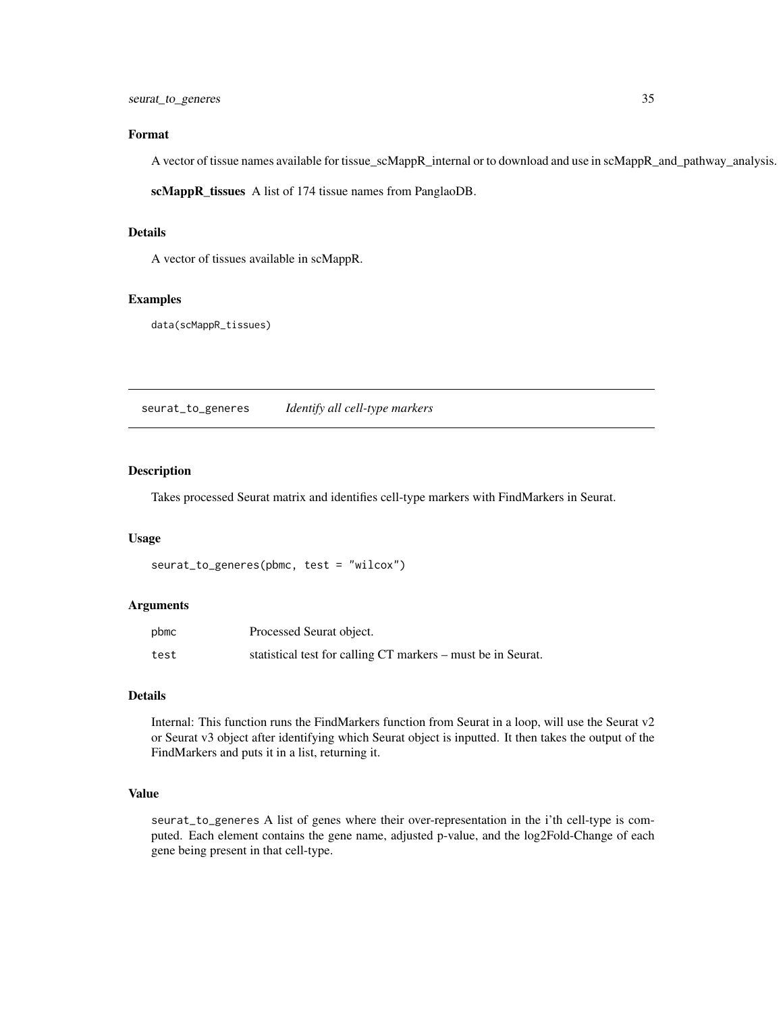#### <span id="page-34-0"></span>Format

A vector of tissue names available for tissue\_scMappR\_internal or to download and use in scMappR\_and\_pathway\_analysis.

scMappR\_tissues A list of 174 tissue names from PanglaoDB.

#### Details

A vector of tissues available in scMappR.

#### Examples

data(scMappR\_tissues)

seurat\_to\_generes *Identify all cell-type markers*

## Description

Takes processed Seurat matrix and identifies cell-type markers with FindMarkers in Seurat.

#### Usage

```
seurat_to_generes(pbmc, test = "wilcox")
```
#### Arguments

| pbmc | Processed Seurat object.                                     |
|------|--------------------------------------------------------------|
| test | statistical test for calling CT markers – must be in Seurat. |

## Details

Internal: This function runs the FindMarkers function from Seurat in a loop, will use the Seurat v2 or Seurat v3 object after identifying which Seurat object is inputted. It then takes the output of the FindMarkers and puts it in a list, returning it.

## Value

seurat\_to\_generes A list of genes where their over-representation in the i'th cell-type is computed. Each element contains the gene name, adjusted p-value, and the log2Fold-Change of each gene being present in that cell-type.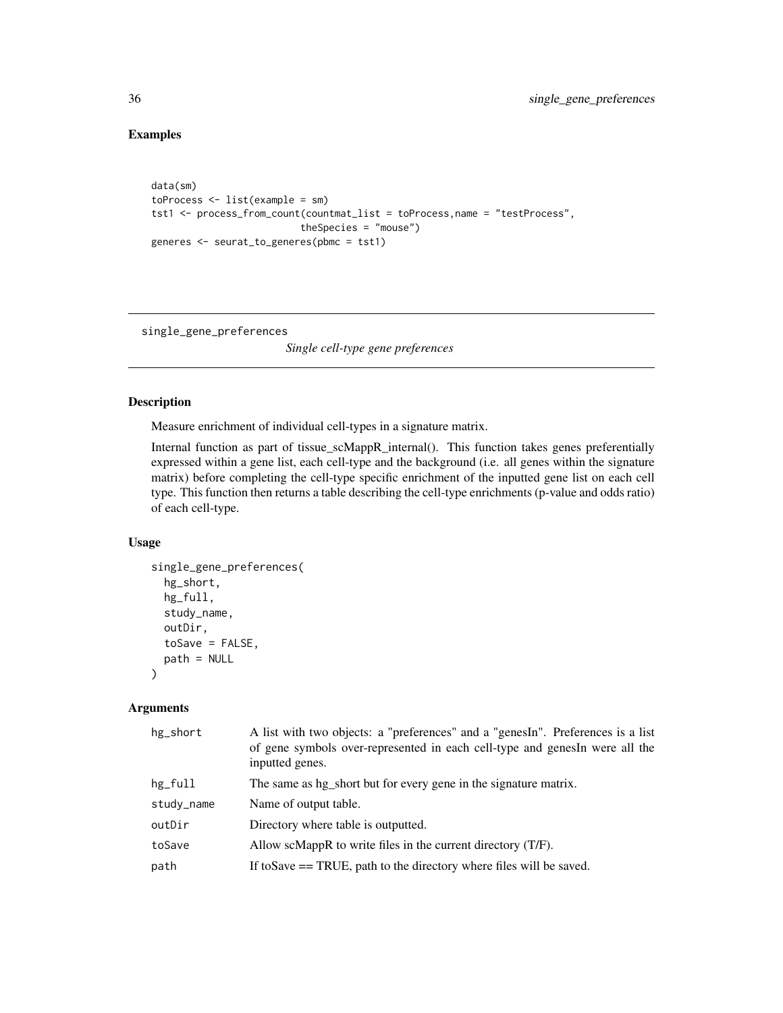## Examples

```
data(sm)
toProcess \leq list(example = sm)
tst1 <- process_from_count(countmat_list = toProcess,name = "testProcess",
                          theSpecies = "mouse")
generes <- seurat_to_generes(pbmc = tst1)
```
single\_gene\_preferences

*Single cell-type gene preferences*

## Description

Measure enrichment of individual cell-types in a signature matrix.

Internal function as part of tissue\_scMappR\_internal(). This function takes genes preferentially expressed within a gene list, each cell-type and the background (i.e. all genes within the signature matrix) before completing the cell-type specific enrichment of the inputted gene list on each cell type. This function then returns a table describing the cell-type enrichments (p-value and odds ratio) of each cell-type.

### Usage

```
single_gene_preferences(
 hg_short,
 hg_full,
  study_name,
 outDir,
  toSave = FALSE,path = NULL
)
```
#### Arguments

| hg_short   | A list with two objects: a "preferences" and a "genesIn". Preferences is a list<br>of gene symbols over-represented in each cell-type and genesIn were all the<br>inputted genes. |
|------------|-----------------------------------------------------------------------------------------------------------------------------------------------------------------------------------|
| hg_full    | The same as hg_short but for every gene in the signature matrix.                                                                                                                  |
| study_name | Name of output table.                                                                                                                                                             |
| outDir     | Directory where table is outputted.                                                                                                                                               |
| toSave     | Allow scMappR to write files in the current directory $(T/F)$ .                                                                                                                   |
| path       | If to Save $==$ TRUE, path to the directory where files will be saved.                                                                                                            |

<span id="page-35-0"></span>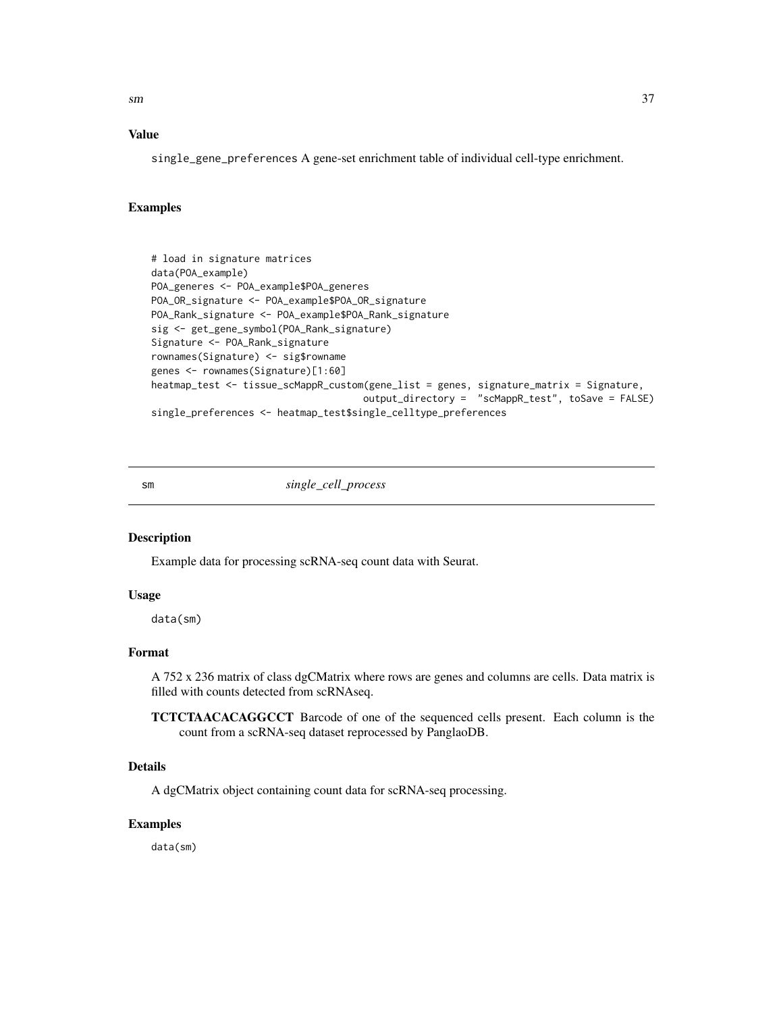<span id="page-36-0"></span> $\mathbf{sm}$  37

#### Value

single\_gene\_preferences A gene-set enrichment table of individual cell-type enrichment.

## Examples

```
# load in signature matrices
data(POA_example)
POA_generes <- POA_example$POA_generes
POA_OR_signature <- POA_example$POA_OR_signature
POA_Rank_signature <- POA_example$POA_Rank_signature
sig <- get_gene_symbol(POA_Rank_signature)
Signature <- POA_Rank_signature
rownames(Signature) <- sig$rowname
genes <- rownames(Signature)[1:60]
heatmap_test <- tissue_scMappR_custom(gene_list = genes, signature_matrix = Signature,
                                     output_directory = "scMappR_test", toSave = FALSE)
single_preferences <- heatmap_test$single_celltype_preferences
```

```
sm single_cell_process
```
#### Description

Example data for processing scRNA-seq count data with Seurat.

#### Usage

data(sm)

## Format

A 752 x 236 matrix of class dgCMatrix where rows are genes and columns are cells. Data matrix is filled with counts detected from scRNAseq.

TCTCTAACACAGGCCT Barcode of one of the sequenced cells present. Each column is the count from a scRNA-seq dataset reprocessed by PanglaoDB.

## Details

A dgCMatrix object containing count data for scRNA-seq processing.

#### Examples

data(sm)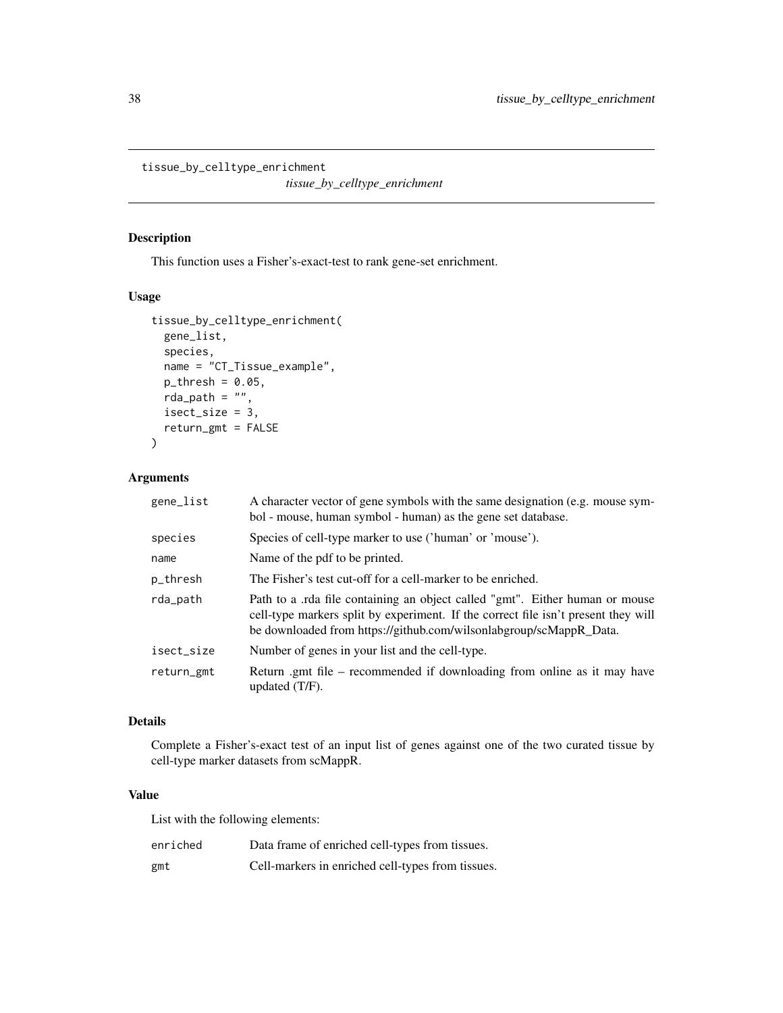<span id="page-37-0"></span>tissue\_by\_celltype\_enrichment

*tissue\_by\_celltype\_enrichment*

## Description

This function uses a Fisher's-exact-test to rank gene-set enrichment.

## Usage

```
tissue_by_celltype_enrichment(
  gene_list,
  species,
 name = "CT_Tissue_example",
 p_{th}resh = 0.05,
  rda_path = ",
  isect_size = 3,
  return_gmt = FALSE
\mathcal{L}
```
## Arguments

| gene_list  | A character vector of gene symbols with the same designation (e.g. mouse sym-<br>bol - mouse, human symbol - human) as the gene set database.                                                                                            |
|------------|------------------------------------------------------------------------------------------------------------------------------------------------------------------------------------------------------------------------------------------|
| species    | Species of cell-type marker to use ('human' or 'mouse').                                                                                                                                                                                 |
| name       | Name of the pdf to be printed.                                                                                                                                                                                                           |
| p_thresh   | The Fisher's test cut-off for a cell-marker to be enriched.                                                                                                                                                                              |
| rda_path   | Path to a .rda file containing an object called "gmt". Either human or mouse<br>cell-type markers split by experiment. If the correct file isn't present they will<br>be downloaded from https://github.com/wilsonlabgroup/scMappR_Data. |
| isect_size | Number of genes in your list and the cell-type.                                                                                                                                                                                          |
| return_gmt | Return .gmt file – recommended if downloading from online as it may have<br>updated $(T/F)$ .                                                                                                                                            |

## Details

Complete a Fisher's-exact test of an input list of genes against one of the two curated tissue by cell-type marker datasets from scMappR.

## Value

List with the following elements:

| enriched | Data frame of enriched cell-types from tissues.   |
|----------|---------------------------------------------------|
| gmt      | Cell-markers in enriched cell-types from tissues. |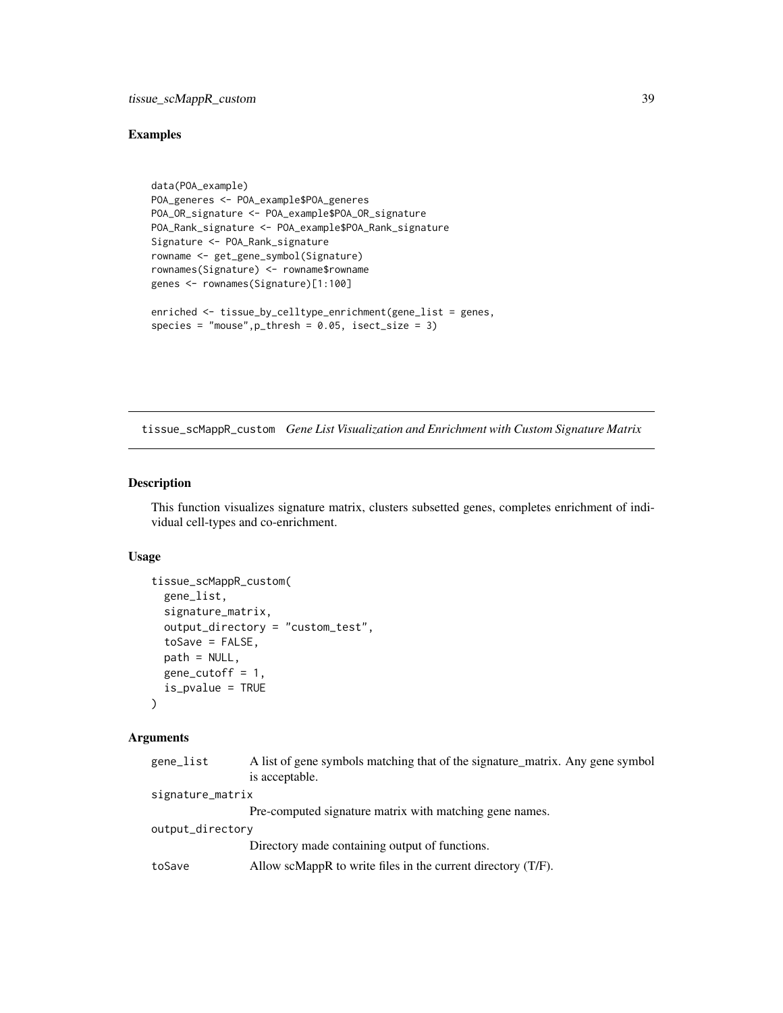## <span id="page-38-0"></span>Examples

```
data(POA_example)
POA_generes <- POA_example$POA_generes
POA_OR_signature <- POA_example$POA_OR_signature
POA_Rank_signature <- POA_example$POA_Rank_signature
Signature <- POA_Rank_signature
rowname <- get_gene_symbol(Signature)
rownames(Signature) <- rowname$rowname
genes <- rownames(Signature)[1:100]
enriched <- tissue_by_celltype_enrichment(gene_list = genes,
species = "mouse", p_thresh = 0.05, isect_size = 3)
```
tissue\_scMappR\_custom *Gene List Visualization and Enrichment with Custom Signature Matrix*

#### Description

This function visualizes signature matrix, clusters subsetted genes, completes enrichment of individual cell-types and co-enrichment.

#### Usage

```
tissue_scMappR_custom(
  gene_list,
  signature_matrix,
  output_directory = "custom_test",
  toSave = FALSE,path = NULL,gene_cutoff = 1,
  is_pvalue = TRUE
)
```
## Arguments

| gene_list        | A list of gene symbols matching that of the signature_matrix. Any gene symbol |
|------------------|-------------------------------------------------------------------------------|
|                  | is acceptable.                                                                |
| signature_matrix |                                                                               |
|                  | Pre-computed signature matrix with matching gene names.                       |
| output_directory |                                                                               |
|                  | Directory made containing output of functions.                                |
| toSave           | Allow scMappR to write files in the current directory $(T/F)$ .               |
|                  |                                                                               |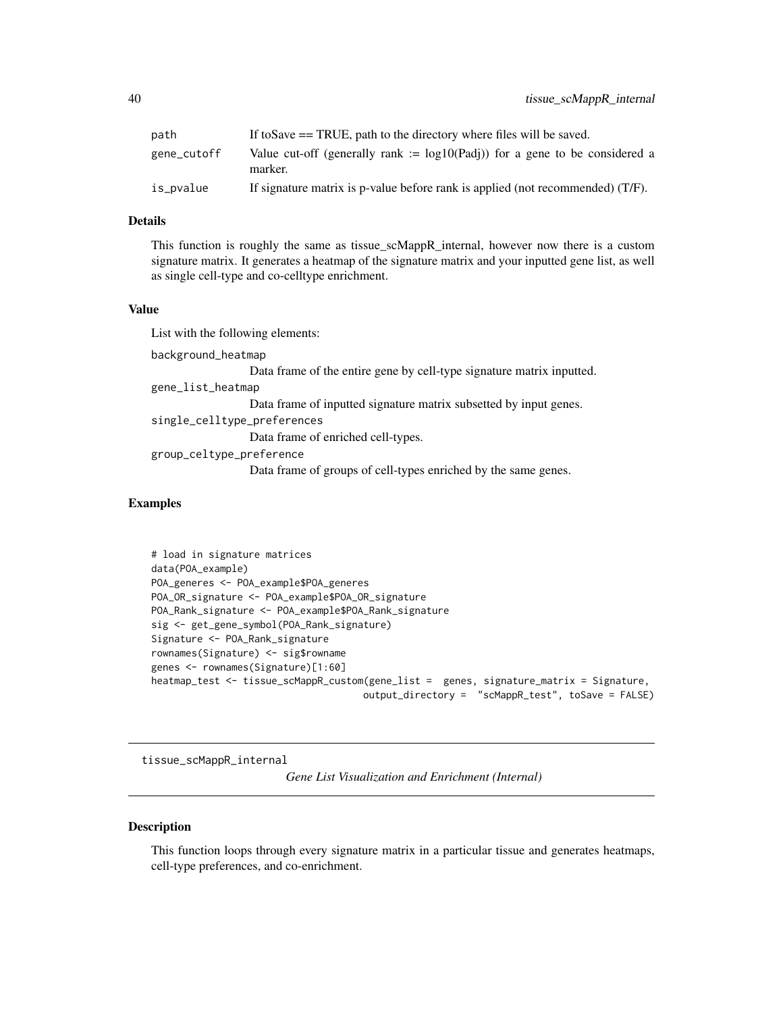<span id="page-39-0"></span>

| path        | If to Save $==$ TRUE, path to the directory where files will be saved.                    |
|-------------|-------------------------------------------------------------------------------------------|
| gene_cutoff | Value cut-off (generally rank := $log10(Padj)$ ) for a gene to be considered a<br>marker. |
| is_pvalue   | If signature matrix is p-value before rank is applied (not recommended) (T/F).            |

## Details

This function is roughly the same as tissue\_scMappR\_internal, however now there is a custom signature matrix. It generates a heatmap of the signature matrix and your inputted gene list, as well as single cell-type and co-celltype enrichment.

#### Value

List with the following elements:

background\_heatmap Data frame of the entire gene by cell-type signature matrix inputted. gene\_list\_heatmap

Data frame of inputted signature matrix subsetted by input genes.

single\_celltype\_preferences

Data frame of enriched cell-types.

group\_celtype\_preference

Data frame of groups of cell-types enriched by the same genes.

## Examples

```
# load in signature matrices
data(POA_example)
POA_generes <- POA_example$POA_generes
POA_OR_signature <- POA_example$POA_OR_signature
POA_Rank_signature <- POA_example$POA_Rank_signature
sig <- get_gene_symbol(POA_Rank_signature)
Signature <- POA_Rank_signature
rownames(Signature) <- sig$rowname
genes <- rownames(Signature)[1:60]
heatmap_test <- tissue_scMappR_custom(gene_list = genes, signature_matrix = Signature,
                                     output_directory = "scMappR_test", toSave = FALSE)
```
tissue\_scMappR\_internal *Gene List Visualization and Enrichment (Internal)*

#### Description

This function loops through every signature matrix in a particular tissue and generates heatmaps, cell-type preferences, and co-enrichment.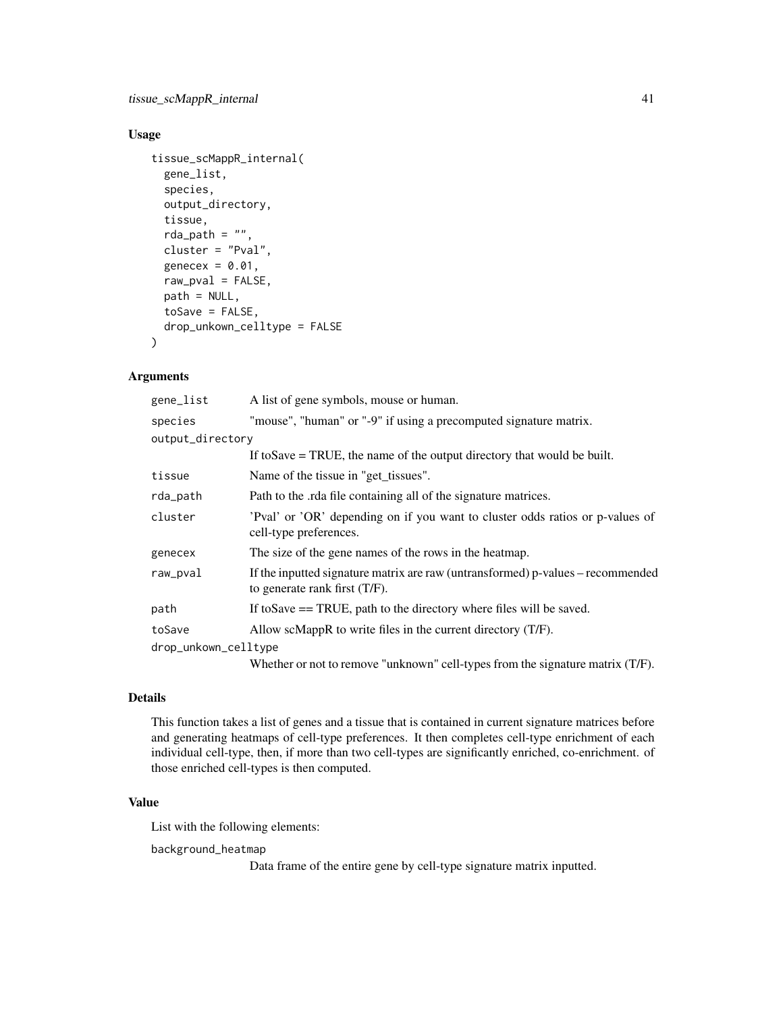## Usage

```
tissue_scMappR_internal(
 gene_list,
  species,
 output_directory,
  tissue,
  rda_path = ",
  cluster = "Pval",
  genecex = 0.01,
 raw_pval = FALSE,
 path = NULL,
  toSave = FALSE,
  drop_unkown_celltype = FALSE
)
```
#### Arguments

| gene_list            | A list of gene symbols, mouse or human.                                                                          |
|----------------------|------------------------------------------------------------------------------------------------------------------|
| species              | "mouse", "human" or "-9" if using a precomputed signature matrix.                                                |
| output_directory     |                                                                                                                  |
|                      | If to Save $=$ TRUE, the name of the output directory that would be built.                                       |
| tissue               | Name of the tissue in "get_tissues".                                                                             |
| rda_path             | Path to the rda file containing all of the signature matrices.                                                   |
| cluster              | Pval' or 'OR' depending on if you want to cluster odds ratios or p-values of<br>cell-type preferences.           |
| genecex              | The size of the gene names of the rows in the heatmap.                                                           |
| raw_pval             | If the inputted signature matrix are raw (untransformed) p-values – recommended<br>to generate rank first (T/F). |
| path                 | If to Save $==$ TRUE, path to the directory where files will be saved.                                           |
| toSave               | Allow scMappR to write files in the current directory $(T/F)$ .                                                  |
| drop_unkown_celltype |                                                                                                                  |
|                      | Whether or not to remove "unknown" cell-types from the signature matrix (T/F).                                   |

## Details

This function takes a list of genes and a tissue that is contained in current signature matrices before and generating heatmaps of cell-type preferences. It then completes cell-type enrichment of each individual cell-type, then, if more than two cell-types are significantly enriched, co-enrichment. of those enriched cell-types is then computed.

## Value

List with the following elements:

background\_heatmap

Data frame of the entire gene by cell-type signature matrix inputted.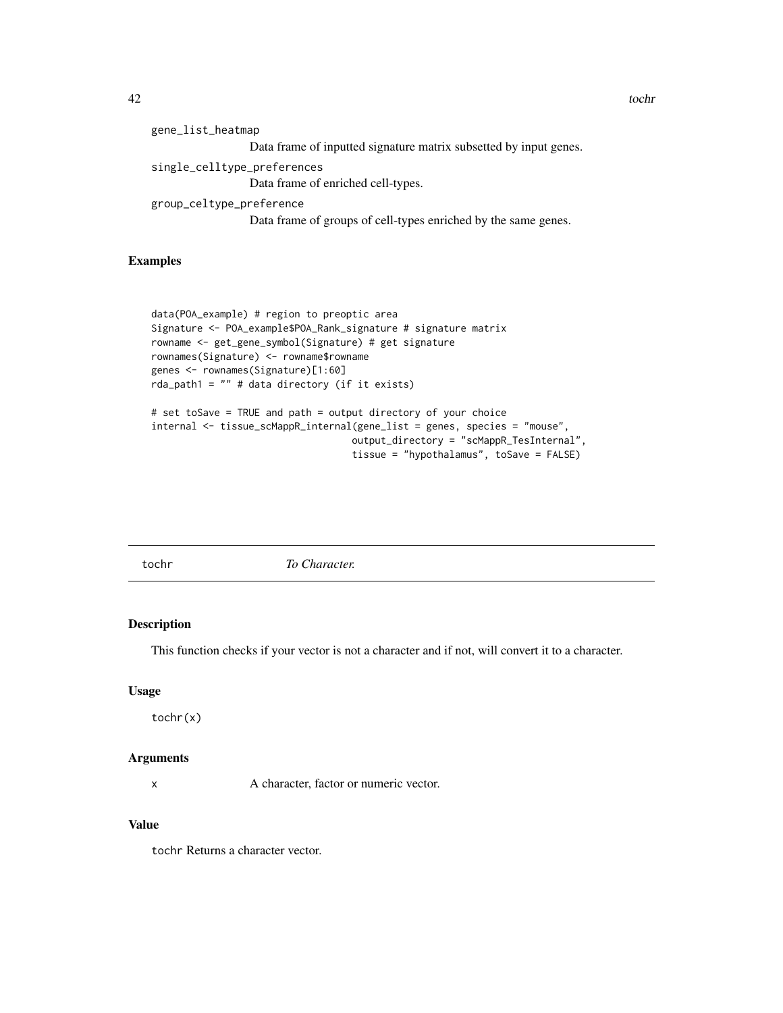<span id="page-41-0"></span>

| gene_list_heatmap                                                 |  |
|-------------------------------------------------------------------|--|
| Data frame of inputted signature matrix subsetted by input genes. |  |
| single_celltype_preferences<br>Data frame of enriched cell-types. |  |
| group_celtype_preference                                          |  |
| Data frame of groups of cell-types enriched by the same genes.    |  |

## Examples

```
data(POA_example) # region to preoptic area
Signature <- POA_example$POA_Rank_signature # signature matrix
rowname <- get_gene_symbol(Signature) # get signature
rownames(Signature) <- rowname$rowname
genes <- rownames(Signature)[1:60]
rda_path1 = "" # data directory (if it exists)
# set toSave = TRUE and path = output directory of your choice
```

```
internal <- tissue_scMappR_internal(gene_list = genes, species = "mouse",
                                   output_directory = "scMappR_TesInternal",
                                   tissue = "hypothalamus", toSave = FALSE)
```
tochr *To Character.*

#### Description

This function checks if your vector is not a character and if not, will convert it to a character.

#### Usage

tochr(x)

#### Arguments

x A character, factor or numeric vector.

## Value

tochr Returns a character vector.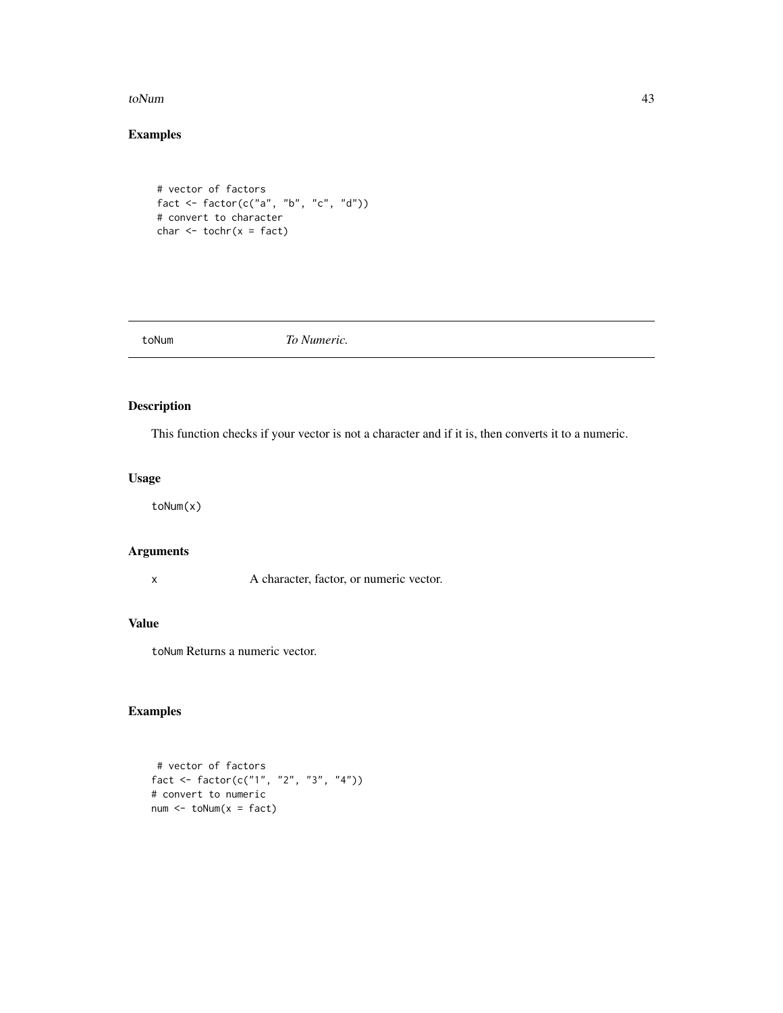#### <span id="page-42-0"></span>toNum and the state of the state of the state of the state of the state of the state of the state of the state of the state of the state of the state of the state of the state of the state of the state of the state of the

## Examples

```
# vector of factors
fact <- factor(c("a", "b", "c", "d"))
# convert to character
char < -\text{tochr}(x = fact)
```
toNum *To Numeric.*

## Description

This function checks if your vector is not a character and if it is, then converts it to a numeric.

## Usage

toNum(x)

## Arguments

x A character, factor, or numeric vector.

## Value

toNum Returns a numeric vector.

## Examples

# vector of factors fact <- factor(c("1", "2", "3", "4")) # convert to numeric num <- toNum(x = fact)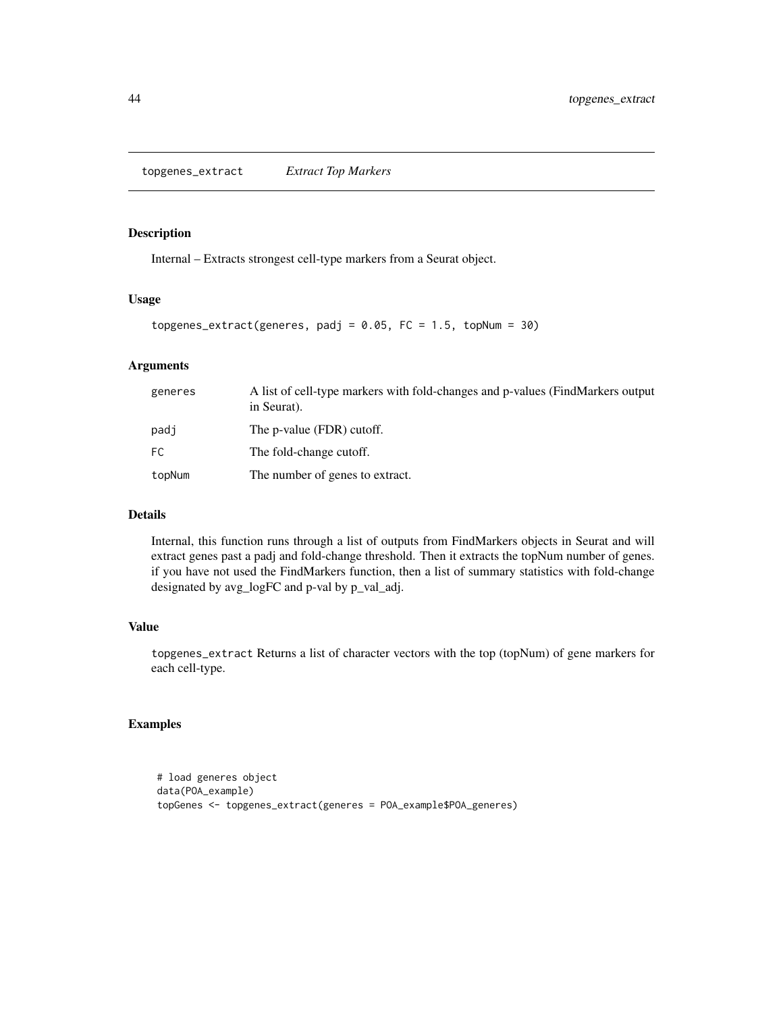## <span id="page-43-0"></span>Description

Internal – Extracts strongest cell-type markers from a Seurat object.

#### Usage

```
topgenes_extract(generes, padj = 0.05, FC = 1.5, topNum = 30)
```
## Arguments

| generes | A list of cell-type markers with fold-changes and p-values (FindMarkers output<br>in Seurat). |
|---------|-----------------------------------------------------------------------------------------------|
| padi    | The p-value (FDR) cutoff.                                                                     |
| FC      | The fold-change cutoff.                                                                       |
| topNum  | The number of genes to extract.                                                               |

## Details

Internal, this function runs through a list of outputs from FindMarkers objects in Seurat and will extract genes past a padj and fold-change threshold. Then it extracts the topNum number of genes. if you have not used the FindMarkers function, then a list of summary statistics with fold-change designated by avg\_logFC and p-val by p\_val\_adj.

## Value

topgenes\_extract Returns a list of character vectors with the top (topNum) of gene markers for each cell-type.

## Examples

```
# load generes object
data(POA_example)
topGenes <- topgenes_extract(generes = POA_example$POA_generes)
```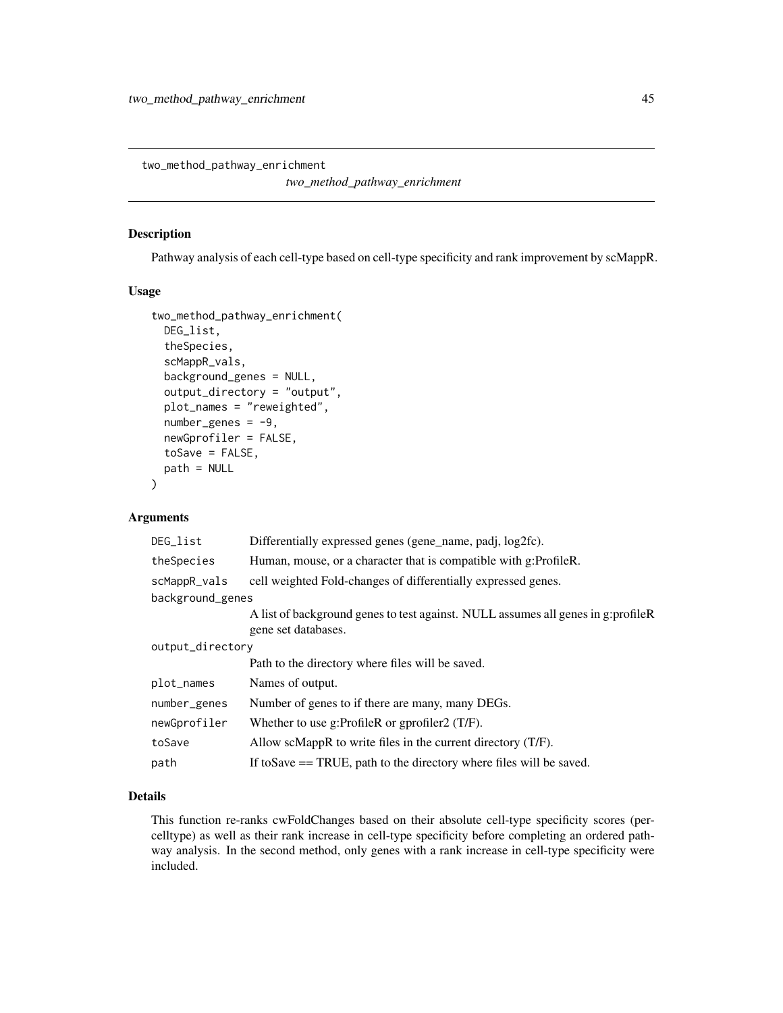<span id="page-44-0"></span>two\_method\_pathway\_enrichment

*two\_method\_pathway\_enrichment*

## Description

Pathway analysis of each cell-type based on cell-type specificity and rank improvement by scMappR.

#### Usage

```
two_method_pathway_enrichment(
 DEG_list,
  theSpecies,
  scMappR_vals,
 background_genes = NULL,
  output_directory = "output",
 plot_names = "reweighted",
 number\_genes = -9,newGprofiler = FALSE,
  toSave = FALSE,path = NULL
\lambda
```
## Arguments

| DEG_list         | Differentially expressed genes (gene_name, padj, log2fc).                                               |
|------------------|---------------------------------------------------------------------------------------------------------|
| theSpecies       | Human, mouse, or a character that is compatible with g:ProfileR.                                        |
| scMappR_vals     | cell weighted Fold-changes of differentially expressed genes.                                           |
| background_genes |                                                                                                         |
|                  | A list of background genes to test against. NULL assumes all genes in g:profileR<br>gene set databases. |
| output_directory |                                                                                                         |
|                  | Path to the directory where files will be saved.                                                        |
| plot_names       | Names of output.                                                                                        |
| number_genes     | Number of genes to if there are many, many DEGs.                                                        |
| newGprofiler     | Whether to use g:ProfileR or gprofiler2 $(T/F)$ .                                                       |
| toSave           | Allow scMappR to write files in the current directory $(T/F)$ .                                         |
| path             | If to Save $==$ TRUE, path to the directory where files will be saved.                                  |

## Details

This function re-ranks cwFoldChanges based on their absolute cell-type specificity scores (percelltype) as well as their rank increase in cell-type specificity before completing an ordered pathway analysis. In the second method, only genes with a rank increase in cell-type specificity were included.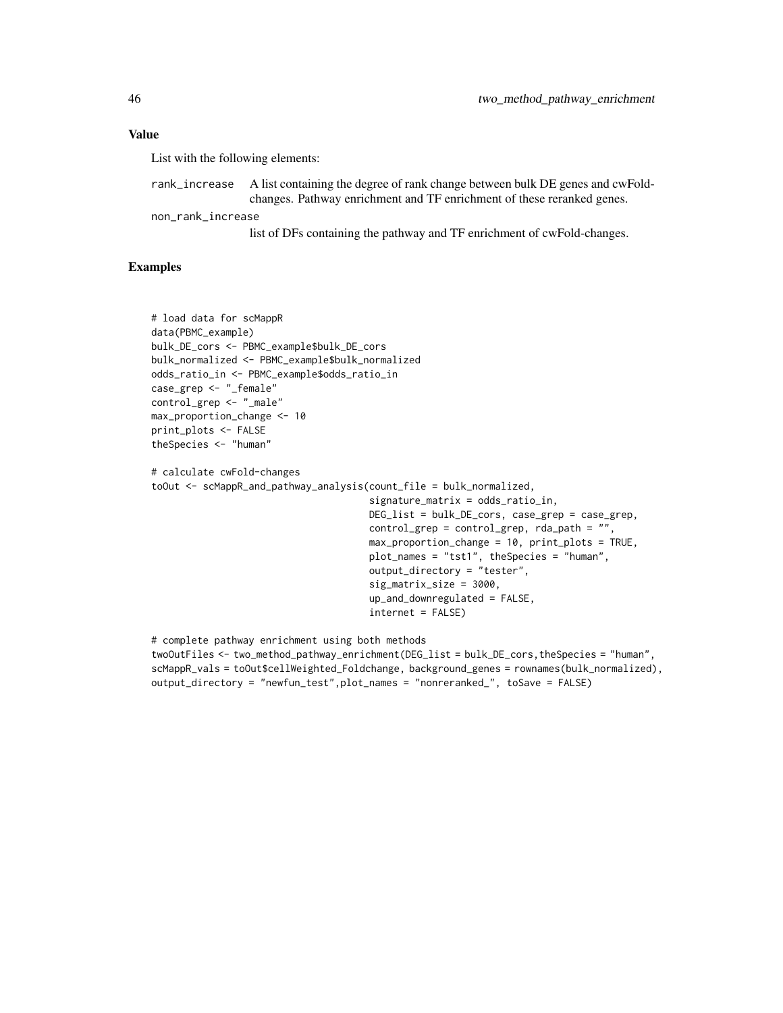#### Value

List with the following elements:

| rank_increase A list containing the degree of rank change between bulk DE genes and cwFold- |
|---------------------------------------------------------------------------------------------|
| changes. Pathway enrichment and TF enrichment of these reranked genes.                      |

non\_rank\_increase

list of DFs containing the pathway and TF enrichment of cwFold-changes.

## Examples

```
# load data for scMappR
data(PBMC_example)
bulk_DE_cors <- PBMC_example$bulk_DE_cors
bulk_normalized <- PBMC_example$bulk_normalized
odds_ratio_in <- PBMC_example$odds_ratio_in
case_grep <- "_female"
control_grep <- "_male"
max_proportion_change <- 10
print_plots <- FALSE
theSpecies <- "human"
# calculate cwFold-changes
toOut <- scMappR_and_pathway_analysis(count_file = bulk_normalized,
                                      signature_matrix = odds_ratio_in,
                                      DEG_list = bulk_DE_cors, case_grep = case_grep,
                                      control_grep = control_grep, rda_path = "",
                                      max_proportion_change = 10, print_plots = TRUE,
                                      plot_names = "tst1", theSpecies = "human",
                                      output_directory = "tester",
                                      sig_matrix_size = 3000,
                                      up_and_downregulated = FALSE,
                                      internet = FALSE)
# complete pathway enrichment using both methods
```
twoOutFiles <- two\_method\_pathway\_enrichment(DEG\_list = bulk\_DE\_cors,theSpecies = "human", scMappR\_vals = toOut\$cellWeighted\_Foldchange, background\_genes = rownames(bulk\_normalized), output\_directory = "newfun\_test",plot\_names = "nonreranked\_", toSave = FALSE)